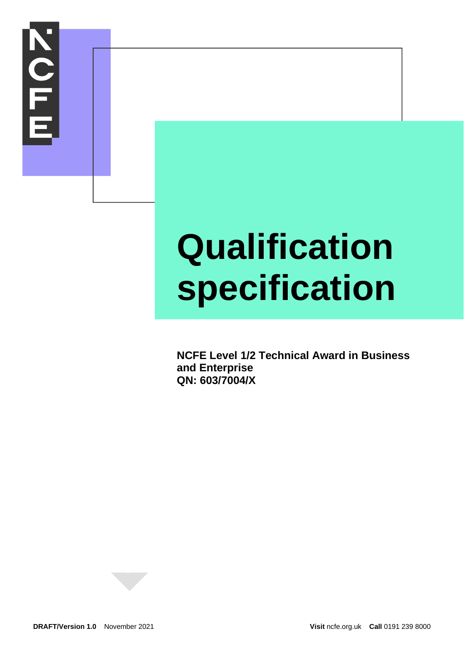

# **Qualification specification**

**NCFE Level 1/2 Technical Award in Business and Enterprise QN: 603/7004/X**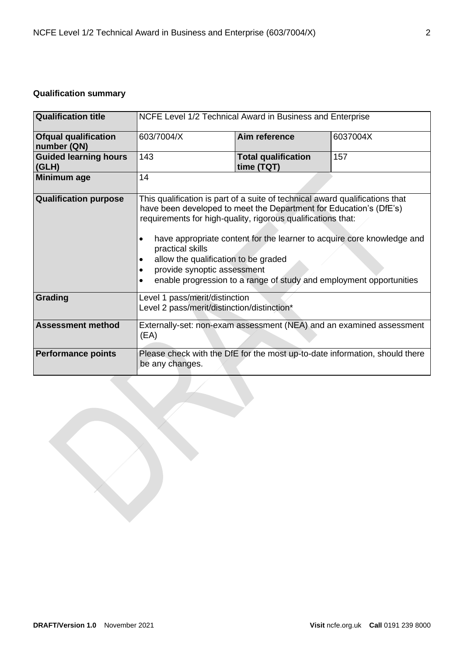# **Qualification summary**

| <b>Qualification title</b>                 | NCFE Level 1/2 Technical Award in Business and Enterprise                                                                                                                                                                                                                                                                                                                                                                                                                   |                                          |          |
|--------------------------------------------|-----------------------------------------------------------------------------------------------------------------------------------------------------------------------------------------------------------------------------------------------------------------------------------------------------------------------------------------------------------------------------------------------------------------------------------------------------------------------------|------------------------------------------|----------|
| <b>Ofqual qualification</b><br>number (QN) | 603/7004/X                                                                                                                                                                                                                                                                                                                                                                                                                                                                  | Aim reference                            | 6037004X |
| <b>Guided learning hours</b><br>(GLH)      | 143                                                                                                                                                                                                                                                                                                                                                                                                                                                                         | <b>Total qualification</b><br>time (TQT) | 157      |
| Minimum age                                | 14                                                                                                                                                                                                                                                                                                                                                                                                                                                                          |                                          |          |
| <b>Qualification purpose</b>               | This qualification is part of a suite of technical award qualifications that<br>have been developed to meet the Department for Education's (DfE's)<br>requirements for high-quality, rigorous qualifications that:<br>have appropriate content for the learner to acquire core knowledge and<br>$\bullet$<br>practical skills<br>allow the qualification to be graded<br>provide synoptic assessment<br>enable progression to a range of study and employment opportunities |                                          |          |
| Grading                                    | Level 1 pass/merit/distinction<br>Level 2 pass/merit/distinction/distinction*                                                                                                                                                                                                                                                                                                                                                                                               |                                          |          |
| <b>Assessment method</b>                   | Externally-set: non-exam assessment (NEA) and an examined assessment<br>(EA)                                                                                                                                                                                                                                                                                                                                                                                                |                                          |          |
| <b>Performance points</b>                  | Please check with the DfE for the most up-to-date information, should there<br>be any changes.                                                                                                                                                                                                                                                                                                                                                                              |                                          |          |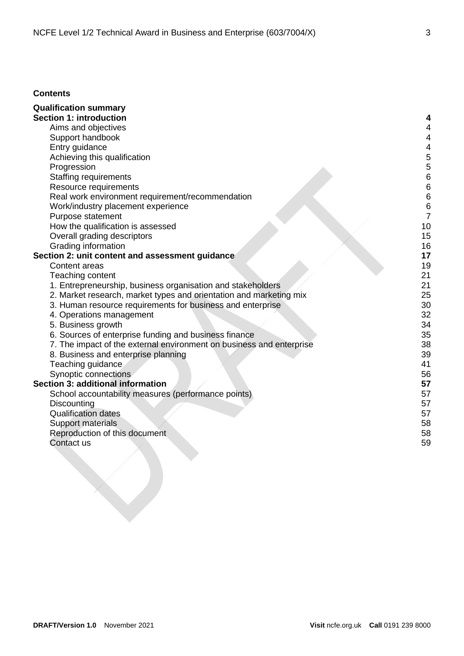# **Contents**

| <b>Qualification summary</b>                                         |    |
|----------------------------------------------------------------------|----|
| <b>Section 1: introduction</b>                                       |    |
| Aims and objectives                                                  | 4  |
| Support handbook                                                     | 4  |
| Entry guidance                                                       | 4  |
| Achieving this qualification                                         | 5  |
| Progression                                                          | 5  |
| <b>Staffing requirements</b>                                         | 6  |
| Resource requirements                                                | 6  |
| Real work environment requirement/recommendation                     | 6  |
| Work/industry placement experience                                   | 6  |
| Purpose statement                                                    | 7  |
| How the qualification is assessed                                    | 10 |
| Overall grading descriptors                                          | 15 |
| Grading information                                                  | 16 |
| Section 2: unit content and assessment guidance                      | 17 |
| Content areas                                                        | 19 |
| Teaching content                                                     | 21 |
| 1. Entrepreneurship, business organisation and stakeholders          | 21 |
| 2. Market research, market types and orientation and marketing mix   | 25 |
| 3. Human resource requirements for business and enterprise           | 30 |
| 4. Operations management                                             | 32 |
| 5. Business growth                                                   | 34 |
| 6. Sources of enterprise funding and business finance                | 35 |
| 7. The impact of the external environment on business and enterprise | 38 |
| 8. Business and enterprise planning                                  | 39 |
| Teaching guidance                                                    | 41 |
| Synoptic connections                                                 | 56 |
| <b>Section 3: additional information</b>                             | 57 |
| School accountability measures (performance points)                  | 57 |
| Discounting                                                          | 57 |
| <b>Qualification dates</b>                                           | 57 |
| Support materials                                                    | 58 |
| Reproduction of this document                                        | 58 |
| Contact us                                                           | 59 |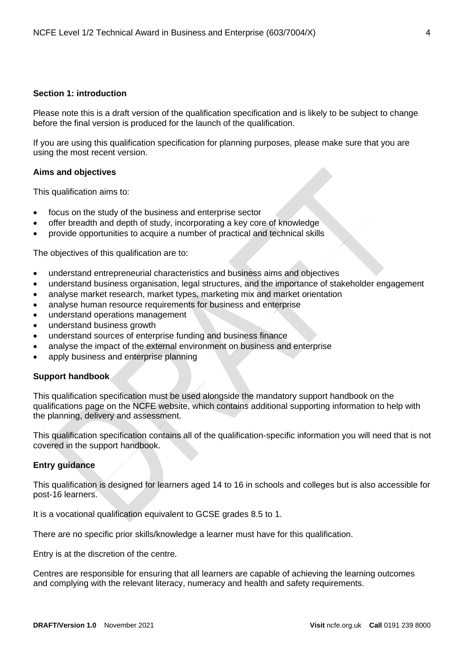# <span id="page-3-0"></span>**Section 1: introduction**

Please note this is a draft version of the qualification specification and is likely to be subject to change before the final version is produced for the launch of the qualification.

If you are using this qualification specification for planning purposes, please make sure that you are using the most recent version.

#### <span id="page-3-1"></span>**Aims and objectives**

This qualification aims to:

- focus on the study of the business and enterprise sector
- offer breadth and depth of study, incorporating a key core of knowledge
- provide opportunities to acquire a number of practical and technical skills

The objectives of this qualification are to:

- understand entrepreneurial characteristics and business aims and objectives
- understand business organisation, legal structures, and the importance of stakeholder engagement
- analyse market research, market types, marketing mix and market orientation
- analyse human resource requirements for business and enterprise
- understand operations management
- understand business growth
- understand sources of enterprise funding and business finance
- analyse the impact of the external environment on business and enterprise
- apply business and enterprise planning

#### <span id="page-3-2"></span>**Support handbook**

This qualification specification must be used alongside the mandatory support handbook on the qualifications page on the NCFE website, which contains additional supporting information to help with the planning, delivery and assessment.

This qualification specification contains all of the qualification-specific information you will need that is not covered in the support handbook.

#### <span id="page-3-3"></span>**Entry guidance**

This qualification is designed for learners aged 14 to 16 in schools and colleges but is also accessible for post-16 learners.

It is a vocational qualification equivalent to GCSE grades 8.5 to 1.

There are no specific prior skills/knowledge a learner must have for this qualification.

Entry is at the discretion of the centre.

Centres are responsible for ensuring that all learners are capable of achieving the learning outcomes and complying with the relevant literacy, numeracy and health and safety requirements.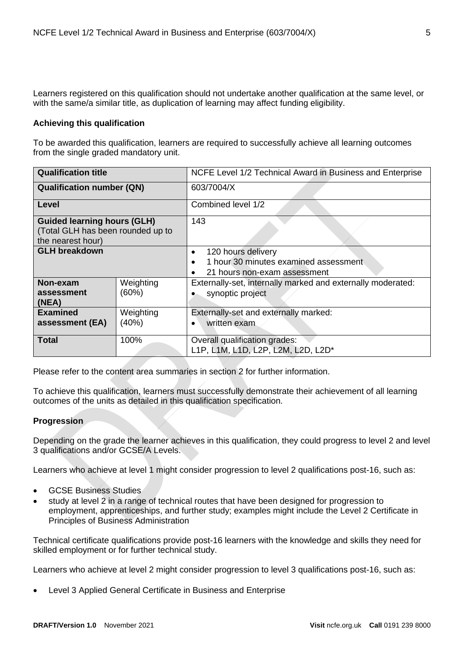Learners registered on this qualification should not undertake another qualification at the same level, or with the same/a similar title, as duplication of learning may affect funding eligibility.

# <span id="page-4-0"></span>**Achieving this qualification**

To be awarded this qualification, learners are required to successfully achieve all learning outcomes from the single graded mandatory unit.

| <b>Qualification title</b>                                                                   |                    | NCFE Level 1/2 Technical Award in Business and Enterprise                                                |
|----------------------------------------------------------------------------------------------|--------------------|----------------------------------------------------------------------------------------------------------|
| <b>Qualification number (QN)</b>                                                             |                    | 603/7004/X                                                                                               |
| Level                                                                                        |                    | Combined level 1/2                                                                                       |
| <b>Guided learning hours (GLH)</b><br>(Total GLH has been rounded up to<br>the nearest hour) |                    | 143                                                                                                      |
| <b>GLH breakdown</b>                                                                         |                    | 120 hours delivery<br>$\bullet$<br>1 hour 30 minutes examined assessment<br>21 hours non-exam assessment |
| Non-exam<br>assessment<br>(NEA)                                                              | Weighting<br>(60%) | Externally-set, internally marked and externally moderated:<br>synoptic project                          |
| <b>Examined</b><br>assessment (EA)                                                           | Weighting<br>(40%) | Externally-set and externally marked:<br>written exam                                                    |
| <b>Total</b>                                                                                 | 100%               | Overall qualification grades:<br>L1P, L1M, L1D, L2P, L2M, L2D, L2D*                                      |

Please refer to the content area summaries in section 2 for further information.

To achieve this qualification, learners must successfully demonstrate their achievement of all learning outcomes of the units as detailed in this qualification specification.

#### <span id="page-4-1"></span>**Progression**

Depending on the grade the learner achieves in this qualification, they could progress to level 2 and level 3 qualifications and/or GCSE/A Levels.

Learners who achieve at level 1 might consider progression to level 2 qualifications post-16, such as:

- GCSE Business Studies
- study at level 2 in a range of technical routes that have been designed for progression to employment, apprenticeships, and further study; examples might include the Level 2 Certificate in Principles of Business Administration

Technical certificate qualifications provide post-16 learners with the knowledge and skills they need for skilled employment or for further technical study.

Learners who achieve at level 2 might consider progression to level 3 qualifications post-16, such as:

• Level 3 Applied General Certificate in Business and Enterprise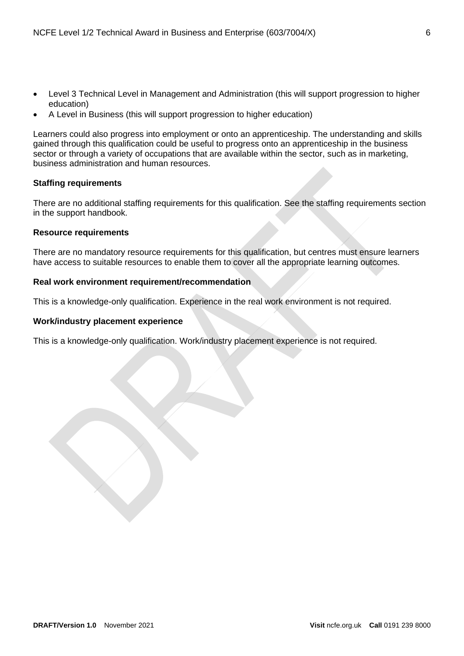- Level 3 Technical Level in Management and Administration (this will support progression to higher education)
- A Level in Business (this will support progression to higher education)

Learners could also progress into employment or onto an apprenticeship. The understanding and skills gained through this qualification could be useful to progress onto an apprenticeship in the business sector or through a variety of occupations that are available within the sector, such as in marketing, business administration and human resources.

# <span id="page-5-0"></span>**Staffing requirements**

There are no additional staffing requirements for this qualification. See the staffing requirements section in the support handbook.

#### <span id="page-5-1"></span>**Resource requirements**

There are no mandatory resource requirements for this qualification, but centres must ensure learners have access to suitable resources to enable them to cover all the appropriate learning outcomes.

# <span id="page-5-2"></span>**Real work environment requirement/recommendation**

This is a knowledge-only qualification. Experience in the real work environment is not required.

# <span id="page-5-3"></span>**Work/industry placement experience**

This is a knowledge-only qualification. Work/industry placement experience is not required.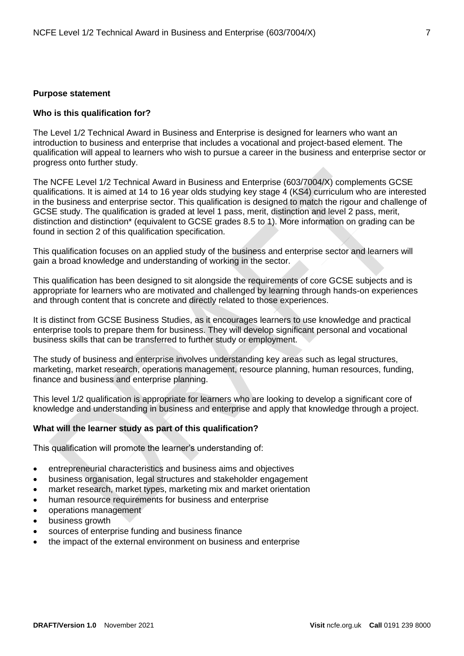#### <span id="page-6-0"></span>**Purpose statement**

#### **Who is this qualification for?**

The Level 1/2 Technical Award in Business and Enterprise is designed for learners who want an introduction to business and enterprise that includes a vocational and project-based element. The qualification will appeal to learners who wish to pursue a career in the business and enterprise sector or progress onto further study.

The NCFE Level 1/2 Technical Award in Business and Enterprise (603/7004/X) complements GCSE qualifications. It is aimed at 14 to 16 year olds studying key stage 4 (KS4) curriculum who are interested in the business and enterprise sector. This qualification is designed to match the rigour and challenge of GCSE study. The qualification is graded at level 1 pass, merit, distinction and level 2 pass, merit, distinction and distinction\* (equivalent to GCSE grades 8.5 to 1). More information on grading can be found in section 2 of this qualification specification.

This qualification focuses on an applied study of the business and enterprise sector and learners will gain a broad knowledge and understanding of working in the sector.

This qualification has been designed to sit alongside the requirements of core GCSE subjects and is appropriate for learners who are motivated and challenged by learning through hands-on experiences and through content that is concrete and directly related to those experiences.

It is distinct from GCSE Business Studies, as it encourages learners to use knowledge and practical enterprise tools to prepare them for business. They will develop significant personal and vocational business skills that can be transferred to further study or employment.

The study of business and enterprise involves understanding key areas such as legal structures, marketing, market research, operations management, resource planning, human resources, funding, finance and business and enterprise planning.

This level 1/2 qualification is appropriate for learners who are looking to develop a significant core of knowledge and understanding in business and enterprise and apply that knowledge through a project.

#### **What will the learner study as part of this qualification?**

This qualification will promote the learner's understanding of:

- entrepreneurial characteristics and business aims and objectives
- business organisation, legal structures and stakeholder engagement
- market research, market types, marketing mix and market orientation
- human resource requirements for business and enterprise
- operations management
- business growth
- sources of enterprise funding and business finance
- the impact of the external environment on business and enterprise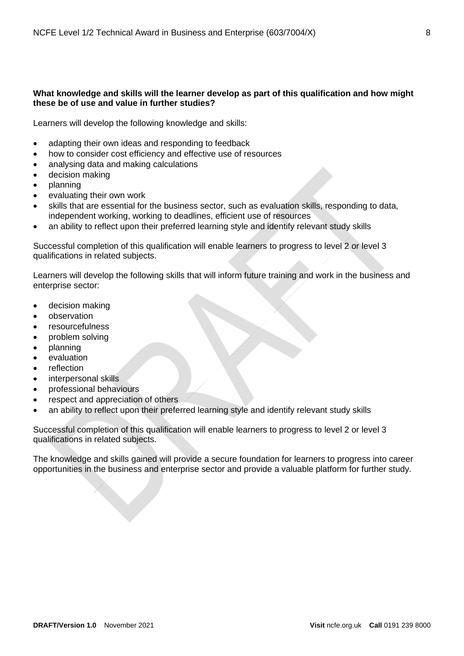# **What knowledge and skills will the learner develop as part of this qualification and how might these be of use and value in further studies?**

Learners will develop the following knowledge and skills:

- adapting their own ideas and responding to feedback
- how to consider cost efficiency and effective use of resources
- analysing data and making calculations
- decision making
- planning
- evaluating their own work
- skills that are essential for the business sector, such as evaluation skills, responding to data, independent working, working to deadlines, efficient use of resources
- an ability to reflect upon their preferred learning style and identify relevant study skills

Successful completion of this qualification will enable learners to progress to level 2 or level 3 qualifications in related subjects.

Learners will develop the following skills that will inform future training and work in the business and enterprise sector:

- decision making
- observation
- resourcefulness
- problem solving
- planning
- evaluation
- reflection
- interpersonal skills
- professional behaviours
- respect and appreciation of others
- an ability to reflect upon their preferred learning style and identify relevant study skills

Successful completion of this qualification will enable learners to progress to level 2 or level 3 qualifications in related subjects.

The knowledge and skills gained will provide a secure foundation for learners to progress into career opportunities in the business and enterprise sector and provide a valuable platform for further study.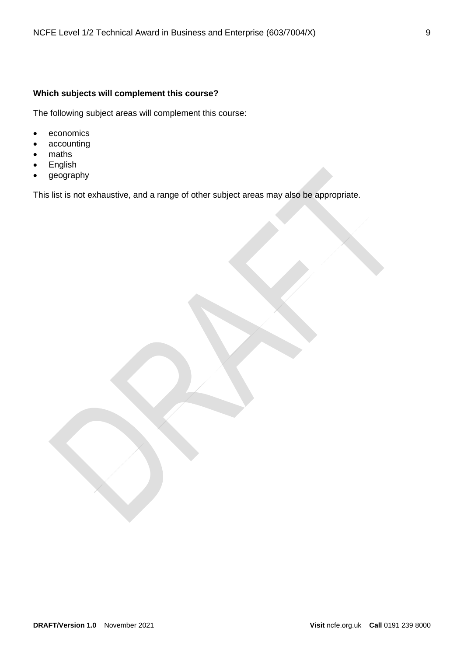# **Which subjects will complement this course?**

The following subject areas will complement this course:

- economics
- accounting
- maths
- English
- geography

This list is not exhaustive, and a range of other subject areas may also be appropriate.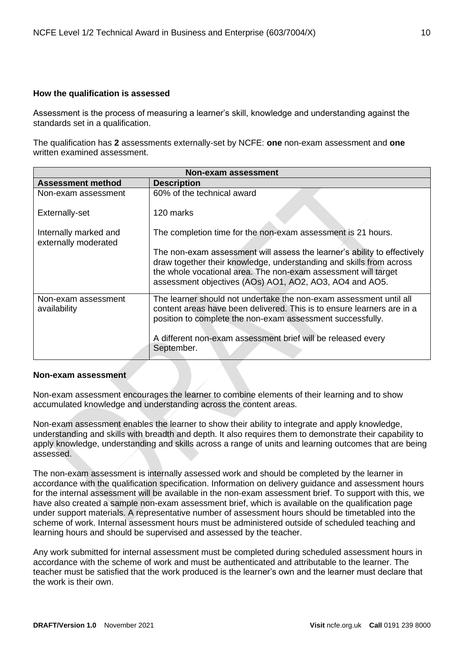# <span id="page-9-0"></span>**How the qualification is assessed**

Assessment is the process of measuring a learner's skill, knowledge and understanding against the standards set in a qualification.

The qualification has **2** assessments externally-set by NCFE: **one** non-exam assessment and **one** written examined assessment.

| Non-exam assessment                           |                                                                                                                                                                                                                                                                              |  |  |  |
|-----------------------------------------------|------------------------------------------------------------------------------------------------------------------------------------------------------------------------------------------------------------------------------------------------------------------------------|--|--|--|
| <b>Assessment method</b>                      | <b>Description</b>                                                                                                                                                                                                                                                           |  |  |  |
| Non-exam assessment                           | 60% of the technical award                                                                                                                                                                                                                                                   |  |  |  |
| Externally-set                                | 120 marks                                                                                                                                                                                                                                                                    |  |  |  |
| Internally marked and<br>externally moderated | The completion time for the non-exam assessment is 21 hours.                                                                                                                                                                                                                 |  |  |  |
|                                               | The non-exam assessment will assess the learner's ability to effectively<br>draw together their knowledge, understanding and skills from across<br>the whole vocational area. The non-exam assessment will target<br>assessment objectives (AOs) AO1, AO2, AO3, AO4 and AO5. |  |  |  |
| Non-exam assessment<br>availability           | The learner should not undertake the non-exam assessment until all<br>content areas have been delivered. This is to ensure learners are in a<br>position to complete the non-exam assessment successfully.                                                                   |  |  |  |
|                                               | A different non-exam assessment brief will be released every<br>September.                                                                                                                                                                                                   |  |  |  |

#### **Non-exam assessment**

Non-exam assessment encourages the learner to combine elements of their learning and to show accumulated knowledge and understanding across the content areas.

Non-exam assessment enables the learner to show their ability to integrate and apply knowledge, understanding and skills with breadth and depth. It also requires them to demonstrate their capability to apply knowledge, understanding and skills across a range of units and learning outcomes that are being assessed.

The non-exam assessment is internally assessed work and should be completed by the learner in accordance with the qualification specification. Information on delivery guidance and assessment hours for the internal assessment will be available in the non-exam assessment brief. To support with this, we have also created a sample non-exam assessment brief, which is available on the qualification page under support materials. A representative number of assessment hours should be timetabled into the scheme of work. Internal assessment hours must be administered outside of scheduled teaching and learning hours and should be supervised and assessed by the teacher.

Any work submitted for internal assessment must be completed during scheduled assessment hours in accordance with the scheme of work and must be authenticated and attributable to the learner. The teacher must be satisfied that the work produced is the learner's own and the learner must declare that the work is their own.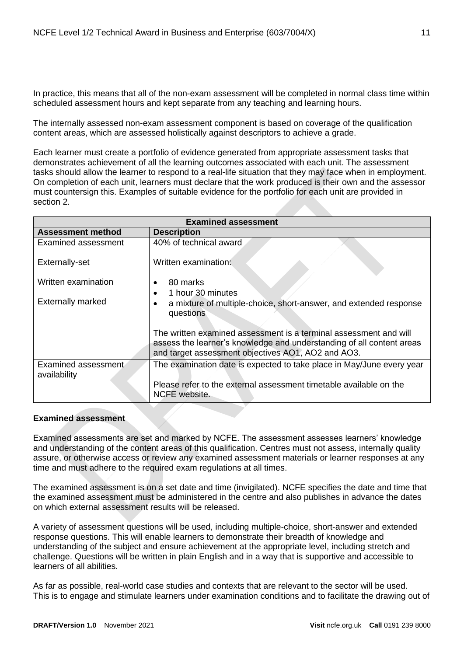In practice, this means that all of the non-exam assessment will be completed in normal class time within scheduled assessment hours and kept separate from any teaching and learning hours.

The internally assessed non-exam assessment component is based on coverage of the qualification content areas, which are assessed holistically against descriptors to achieve a grade.

Each learner must create a portfolio of evidence generated from appropriate assessment tasks that demonstrates achievement of all the learning outcomes associated with each unit. The assessment tasks should allow the learner to respond to a real-life situation that they may face when in employment. On completion of each unit, learners must declare that the work produced is their own and the assessor must countersign this. Examples of suitable evidence for the portfolio for each unit are provided in section 2.

| <b>Examined assessment</b>          |                                                                                                                                                                                                               |  |  |  |
|-------------------------------------|---------------------------------------------------------------------------------------------------------------------------------------------------------------------------------------------------------------|--|--|--|
| <b>Assessment method</b>            | <b>Description</b>                                                                                                                                                                                            |  |  |  |
| <b>Examined assessment</b>          | 40% of technical award                                                                                                                                                                                        |  |  |  |
| Externally-set                      | Written examination:                                                                                                                                                                                          |  |  |  |
| Written examination                 | 80 marks                                                                                                                                                                                                      |  |  |  |
| <b>Externally marked</b>            | 1 hour 30 minutes<br>a mixture of multiple-choice, short-answer, and extended response                                                                                                                        |  |  |  |
|                                     | questions<br>The written examined assessment is a terminal assessment and will<br>assess the learner's knowledge and understanding of all content areas<br>and target assessment objectives AO1, AO2 and AO3. |  |  |  |
| Examined assessment<br>availability | The examination date is expected to take place in May/June every year                                                                                                                                         |  |  |  |
|                                     | Please refer to the external assessment timetable available on the<br>NCFE website.                                                                                                                           |  |  |  |

# **Examined assessment**

Examined assessments are set and marked by NCFE. The assessment assesses learners' knowledge and understanding of the content areas of this qualification. Centres must not assess, internally quality assure, or otherwise access or review any examined assessment materials or learner responses at any time and must adhere to the required exam regulations at all times.

The examined assessment is on a set date and time (invigilated). NCFE specifies the date and time that the examined assessment must be administered in the centre and also publishes in advance the dates on which external assessment results will be released.

A variety of assessment questions will be used, including multiple-choice, short-answer and extended response questions. This will enable learners to demonstrate their breadth of knowledge and understanding of the subject and ensure achievement at the appropriate level, including stretch and challenge. Questions will be written in plain English and in a way that is supportive and accessible to learners of all abilities.

As far as possible, real-world case studies and contexts that are relevant to the sector will be used. This is to engage and stimulate learners under examination conditions and to facilitate the drawing out of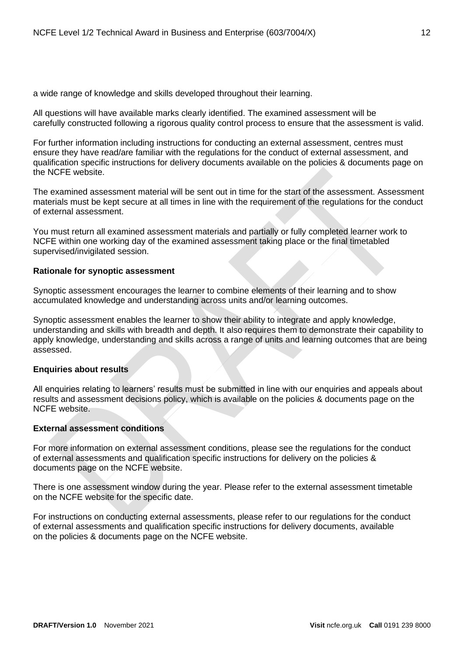a wide range of knowledge and skills developed throughout their learning.

All questions will have available marks clearly identified. The examined assessment will be carefully constructed following a rigorous quality control process to ensure that the assessment is valid.

For further information including instructions for conducting an external assessment, centres must ensure they have read/are familiar with the regulations for the conduct of external assessment, and qualification specific instructions for delivery documents available on the policies & documents page on the NCFE website.

The examined assessment material will be sent out in time for the start of the assessment. Assessment materials must be kept secure at all times in line with the requirement of the regulations for the conduct of external assessment.

You must return all examined assessment materials and partially or fully completed learner work to NCFE within one working day of the examined assessment taking place or the final timetabled supervised/invigilated session.

#### **Rationale for synoptic assessment**

Synoptic assessment encourages the learner to combine elements of their learning and to show accumulated knowledge and understanding across units and/or learning outcomes.

Synoptic assessment enables the learner to show their ability to integrate and apply knowledge, understanding and skills with breadth and depth. It also requires them to demonstrate their capability to apply knowledge, understanding and skills across a range of units and learning outcomes that are being assessed.

#### **Enquiries about results**

All enquiries relating to learners' results must be submitted in line with our enquiries and appeals about results and assessment decisions policy, which is available on the policies & documents page on the NCFE website.

# **External assessment conditions**

For more information on external assessment conditions, please see the regulations for the conduct of external assessments and qualification specific instructions for delivery on the policies & documents page on the NCFE website.

There is one assessment window during the year. Please refer to the external assessment timetable on the NCFE website for the specific date.

For instructions on conducting external assessments, please refer to our regulations for the conduct of external assessments and qualification specific instructions for delivery documents, available on the policies & documents page on the NCFE website.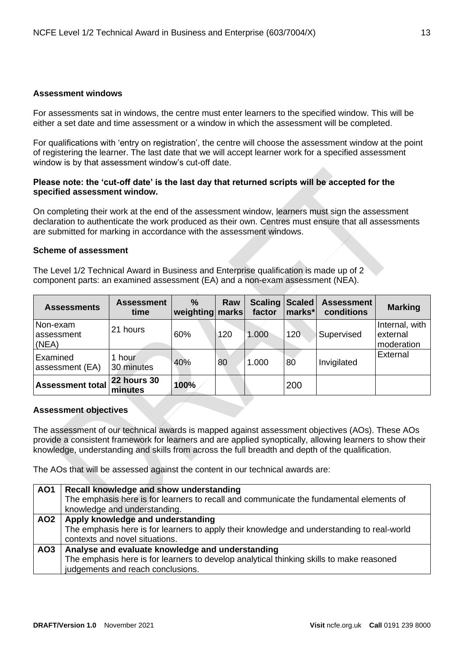#### **Assessment windows**

For assessments sat in windows, the centre must enter learners to the specified window. This will be either a set date and time assessment or a window in which the assessment will be completed.

For qualifications with 'entry on registration', the centre will choose the assessment window at the point of registering the learner. The last date that we will accept learner work for a specified assessment window is by that assessment window's cut-off date.

# **Please note: the 'cut-off date' is the last day that returned scripts will be accepted for the specified assessment window.**

On completing their work at the end of the assessment window, learners must sign the assessment declaration to authenticate the work produced as their own. Centres must ensure that all assessments are submitted for marking in accordance with the assessment windows.

#### **Scheme of assessment**

The Level 1/2 Technical Award in Business and Enterprise qualification is made up of 2 component parts: an examined assessment (EA) and a non-exam assessment (NEA).

| <b>Assessments</b>              | <b>Assessment</b><br>time     | $\frac{0}{0}$<br>weighting marks | Raw | <b>Scaling Scaled</b><br>factor | marks* | <b>Assessment</b><br>conditions | <b>Marking</b>                           |
|---------------------------------|-------------------------------|----------------------------------|-----|---------------------------------|--------|---------------------------------|------------------------------------------|
| Non-exam<br>assessment<br>(NEA) | 21 hours                      | 60%                              | 120 | 1.000                           | 120    | Supervised                      | Internal, with<br>external<br>moderation |
| Examined<br>assessment (EA)     | 1 hour<br>30 minutes          | 40%                              | 80  | 1.000                           | 80     | Invigilated                     | External                                 |
| <b>Assessment total</b>         | <b>22 hours 30</b><br>minutes | 100%                             |     |                                 | 200    |                                 |                                          |

#### **Assessment objectives**

The assessment of our technical awards is mapped against assessment objectives (AOs). These AOs provide a consistent framework for learners and are applied synoptically, allowing learners to show their knowledge, understanding and skills from across the full breadth and depth of the qualification.

The AOs that will be assessed against the content in our technical awards are:

| AO <sub>1</sub> | Recall knowledge and show understanding<br>The emphasis here is for learners to recall and communicate the fundamental elements of<br>knowledge and understanding.                |
|-----------------|-----------------------------------------------------------------------------------------------------------------------------------------------------------------------------------|
| AO <sub>2</sub> | Apply knowledge and understanding<br>The emphasis here is for learners to apply their knowledge and understanding to real-world<br>contexts and novel situations.                 |
| AO <sub>3</sub> | Analyse and evaluate knowledge and understanding<br>The emphasis here is for learners to develop analytical thinking skills to make reasoned<br>judgements and reach conclusions. |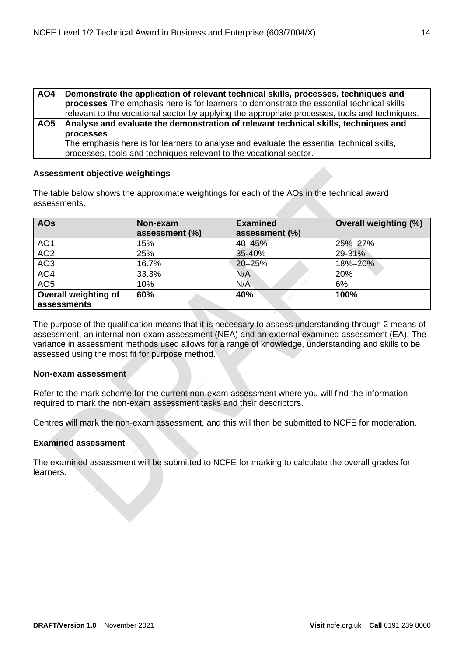| AO4             | Demonstrate the application of relevant technical skills, processes, techniques and            |
|-----------------|------------------------------------------------------------------------------------------------|
|                 | processes The emphasis here is for learners to demonstrate the essential technical skills      |
|                 | relevant to the vocational sector by applying the appropriate processes, tools and techniques. |
| AO <sub>5</sub> | Analyse and evaluate the demonstration of relevant technical skills, techniques and            |
|                 | processes                                                                                      |
|                 | The emphasis here is for learners to analyse and evaluate the essential technical skills,      |
|                 | processes, tools and techniques relevant to the vocational sector.                             |

# **Assessment objective weightings**

The table below shows the approximate weightings for each of the AOs in the technical award assessments.

| <b>AOs</b>           | Non-exam       | <b>Examined</b> | <b>Overall weighting (%)</b> |
|----------------------|----------------|-----------------|------------------------------|
|                      | assessment (%) | assessment (%)  |                              |
| AO <sub>1</sub>      | 15%            | 40-45%          | 25%-27%                      |
| AO <sub>2</sub>      | 25%            | 35-40%          | 29-31%                       |
| AO <sub>3</sub>      | 16.7%          | 20-25%          | 18%-20%                      |
| AO <sub>4</sub>      | 33.3%          | N/A             | 20%                          |
| AO <sub>5</sub>      | 10%            | N/A             | 6%                           |
| Overall weighting of | 60%            | 40%             | 100%                         |
| assessments          |                |                 |                              |

The purpose of the qualification means that it is necessary to assess understanding through 2 means of assessment, an internal non-exam assessment (NEA) and an external examined assessment (EA). The variance in assessment methods used allows for a range of knowledge, understanding and skills to be assessed using the most fit for purpose method.

#### **Non-exam assessment**

Refer to the mark scheme for the current non-exam assessment where you will find the information required to mark the non-exam assessment tasks and their descriptors.

Centres will mark the non-exam assessment, and this will then be submitted to NCFE for moderation.

# **Examined assessment**

The examined assessment will be submitted to NCFE for marking to calculate the overall grades for learners.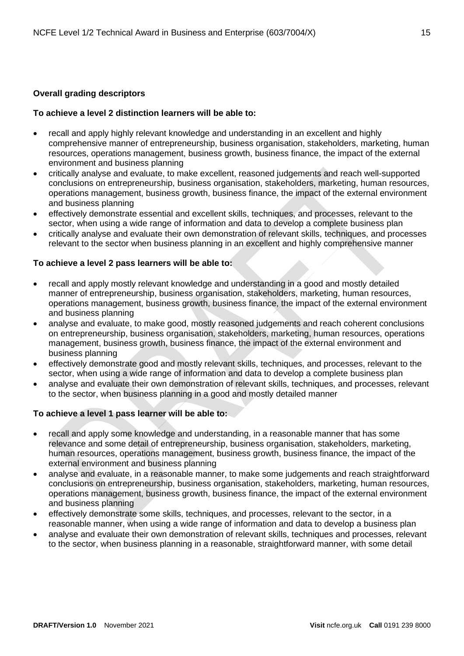# <span id="page-14-0"></span>**Overall grading descriptors**

# **To achieve a level 2 distinction learners will be able to:**

- recall and apply highly relevant knowledge and understanding in an excellent and highly comprehensive manner of entrepreneurship, business organisation, stakeholders, marketing, human resources, operations management, business growth, business finance, the impact of the external environment and business planning
- critically analyse and evaluate, to make excellent, reasoned judgements and reach well-supported conclusions on entrepreneurship, business organisation, stakeholders, marketing, human resources, operations management, business growth, business finance, the impact of the external environment and business planning
- effectively demonstrate essential and excellent skills, techniques, and processes, relevant to the sector, when using a wide range of information and data to develop a complete business plan
- critically analyse and evaluate their own demonstration of relevant skills, techniques, and processes relevant to the sector when business planning in an excellent and highly comprehensive manner

# **To achieve a level 2 pass learners will be able to:**

- recall and apply mostly relevant knowledge and understanding in a good and mostly detailed manner of entrepreneurship, business organisation, stakeholders, marketing, human resources, operations management, business growth, business finance, the impact of the external environment and business planning
- analyse and evaluate, to make good, mostly reasoned judgements and reach coherent conclusions on entrepreneurship, business organisation, stakeholders, marketing, human resources, operations management, business growth, business finance, the impact of the external environment and business planning
- effectively demonstrate good and mostly relevant skills, techniques, and processes, relevant to the sector, when using a wide range of information and data to develop a complete business plan
- analyse and evaluate their own demonstration of relevant skills, techniques, and processes, relevant to the sector, when business planning in a good and mostly detailed manner

# **To achieve a level 1 pass learner will be able to:**

- recall and apply some knowledge and understanding, in a reasonable manner that has some relevance and some detail of entrepreneurship, business organisation, stakeholders, marketing, human resources, operations management, business growth, business finance, the impact of the external environment and business planning
- analyse and evaluate, in a reasonable manner, to make some judgements and reach straightforward conclusions on entrepreneurship, business organisation, stakeholders, marketing, human resources, operations management, business growth, business finance, the impact of the external environment and business planning
- effectively demonstrate some skills, techniques, and processes, relevant to the sector, in a reasonable manner, when using a wide range of information and data to develop a business plan
- analyse and evaluate their own demonstration of relevant skills, techniques and processes, relevant to the sector, when business planning in a reasonable, straightforward manner, with some detail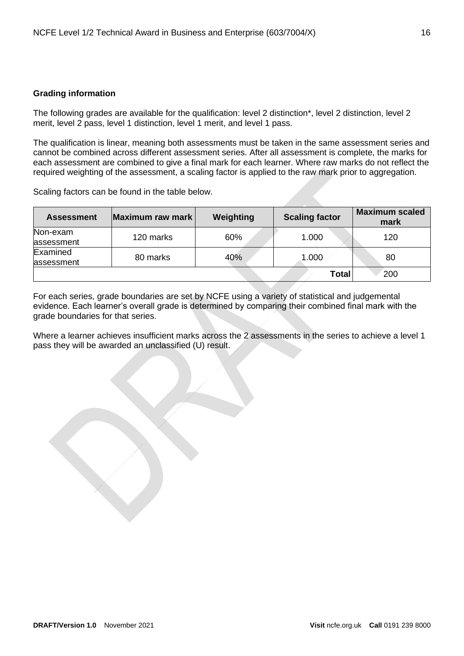# <span id="page-15-0"></span>**Grading information**

The following grades are available for the qualification: level 2 distinction\*, level 2 distinction, level 2 merit, level 2 pass, level 1 distinction, level 1 merit, and level 1 pass.

The qualification is linear, meaning both assessments must be taken in the same assessment series and cannot be combined across different assessment series. After all assessment is complete, the marks for each assessment are combined to give a final mark for each learner. Where raw marks do not reflect the required weighting of the assessment, a scaling factor is applied to the raw mark prior to aggregation.

Scaling factors can be found in the table below.

| <b>Assessment</b>      | Maximum raw mark | Weighting | <b>Scaling factor</b> | <b>Maximum scaled</b><br>mark |
|------------------------|------------------|-----------|-----------------------|-------------------------------|
| Non-exam<br>assessment | 120 marks        | 60%       | 1.000                 | 120                           |
| Examined<br>assessment | 80 marks         | 40%       | 1.000                 | 80                            |
|                        |                  |           | <b>Total</b>          | 200                           |

For each series, grade boundaries are set by NCFE using a variety of statistical and judgemental evidence. Each learner's overall grade is determined by comparing their combined final mark with the grade boundaries for that series.

Where a learner achieves insufficient marks across the 2 assessments in the series to achieve a level 1 pass they will be awarded an unclassified (U) result.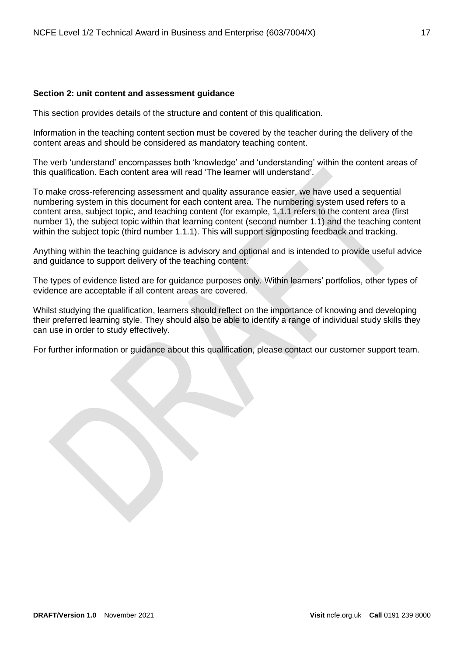#### <span id="page-16-0"></span>**Section 2: unit content and assessment guidance**

This section provides details of the structure and content of this qualification.

Information in the teaching content section must be covered by the teacher during the delivery of the content areas and should be considered as mandatory teaching content.

The verb 'understand' encompasses both 'knowledge' and 'understanding' within the content areas of this qualification. Each content area will read 'The learner will understand'.

To make cross-referencing assessment and quality assurance easier, we have used a sequential numbering system in this document for each content area. The numbering system used refers to a content area, subject topic, and teaching content (for example, 1.1.1 refers to the content area (first number 1), the subject topic within that learning content (second number 1.1) and the teaching content within the subject topic (third number 1.1.1). This will support signposting feedback and tracking.

Anything within the teaching guidance is advisory and optional and is intended to provide useful advice and guidance to support delivery of the teaching content.

The types of evidence listed are for guidance purposes only. Within learners' portfolios, other types of evidence are acceptable if all content areas are covered.

Whilst studying the qualification, learners should reflect on the importance of knowing and developing their preferred learning style. They should also be able to identify a range of individual study skills they can use in order to study effectively.

For further information or guidance about this qualification, please contact our customer support team.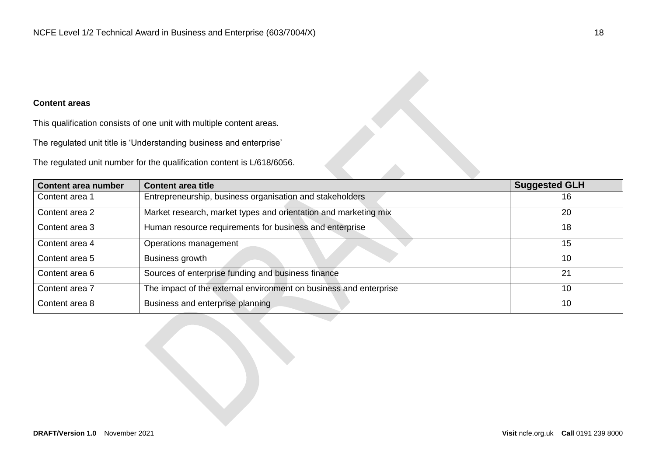# **Content areas**

This qualification consists of one unit with multiple content areas.

The regulated unit title is 'Understanding business and enterprise'

The regulated unit number for the qualification content is L/618/6056.

| Content area number | <b>Content area title</b>                                         | <b>Suggested GLH</b> |
|---------------------|-------------------------------------------------------------------|----------------------|
| Content area 1      | Entrepreneurship, business organisation and stakeholders          | 16                   |
| Content area 2      | Market research, market types and orientation and marketing mix   | 20                   |
| Content area 3      | Human resource requirements for business and enterprise           | 18                   |
| Content area 4      | Operations management                                             | 15                   |
| Content area 5      | Business growth                                                   | 10                   |
| Content area 6      | Sources of enterprise funding and business finance                | 21                   |
| Content area 7      | The impact of the external environment on business and enterprise | 10                   |
| Content area 8      | Business and enterprise planning                                  | 10                   |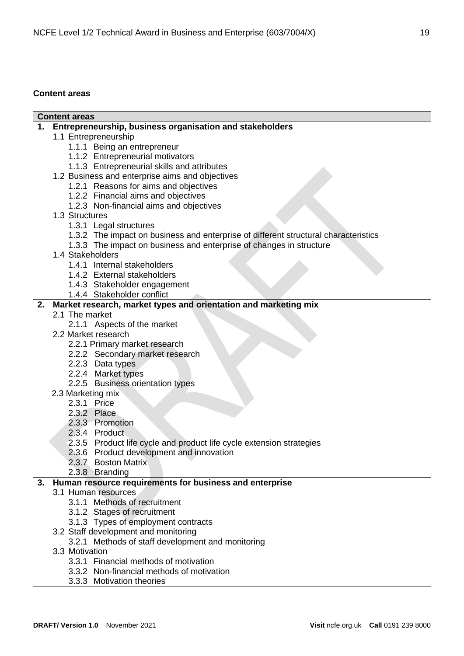# <span id="page-18-0"></span>**Content areas**

|    | <b>Content areas</b>                                                                |
|----|-------------------------------------------------------------------------------------|
|    | 1. Entrepreneurship, business organisation and stakeholders                         |
|    | 1.1 Entrepreneurship                                                                |
|    | 1.1.1 Being an entrepreneur                                                         |
|    | 1.1.2 Entrepreneurial motivators                                                    |
|    | 1.1.3 Entrepreneurial skills and attributes                                         |
|    | 1.2 Business and enterprise aims and objectives                                     |
|    | 1.2.1 Reasons for aims and objectives                                               |
|    | 1.2.2 Financial aims and objectives                                                 |
|    | 1.2.3 Non-financial aims and objectives                                             |
|    | 1.3 Structures                                                                      |
|    | 1.3.1 Legal structures                                                              |
|    | 1.3.2 The impact on business and enterprise of different structural characteristics |
|    | 1.3.3 The impact on business and enterprise of changes in structure                 |
|    | 1.4 Stakeholders                                                                    |
|    | 1.4.1 Internal stakeholders                                                         |
|    | 1.4.2 External stakeholders                                                         |
|    | 1.4.3 Stakeholder engagement                                                        |
|    | 1.4.4 Stakeholder conflict                                                          |
| 2. | Market research, market types and orientation and marketing mix                     |
|    | 2.1 The market                                                                      |
|    | 2.1.1 Aspects of the market                                                         |
|    | 2.2 Market research                                                                 |
|    | 2.2.1 Primary market research                                                       |
|    | 2.2.2 Secondary market research                                                     |
|    | 2.2.3 Data types                                                                    |
|    | 2.2.4 Market types                                                                  |
|    | 2.2.5 Business orientation types                                                    |
|    | 2.3 Marketing mix                                                                   |
|    | 2.3.1 Price                                                                         |
|    | 2.3.2 Place                                                                         |
|    | 2.3.3 Promotion                                                                     |
|    | 2.3.4 Product                                                                       |
|    | 2.3.5 Product life cycle and product life cycle extension strategies                |
|    | 2.3.6 Product development and innovation                                            |
|    | 2.3.7 Boston Matrix                                                                 |
|    | 2.3.8 Branding                                                                      |
| 3. | Human resource requirements for business and enterprise                             |
|    | 3.1 Human resources                                                                 |
|    | 3.1.1 Methods of recruitment                                                        |
|    | 3.1.2 Stages of recruitment                                                         |
|    | 3.1.3 Types of employment contracts                                                 |
|    | 3.2 Staff development and monitoring                                                |
|    | 3.2.1 Methods of staff development and monitoring                                   |
|    | 3.3 Motivation<br>3.3.1 Financial methods of motivation                             |
|    | 3.3.2 Non-financial methods of motivation                                           |
|    |                                                                                     |
|    | 3.3.3 Motivation theories                                                           |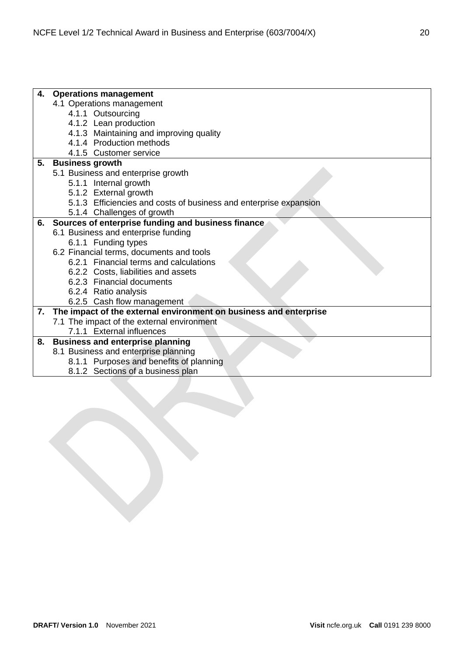# **4. Operations management**

#### 4.1 Operations management

- 4.1.1 Outsourcing
- 4.1.2 Lean production
- 4.1.3 Maintaining and improving quality
- 4.1.4 Production methods
- 4.1.5 Customer service

# **5. Business growth**

- 5.1 Business and enterprise growth
	- 5.1.1 Internal growth
	- 5.1.2 External growth
	- 5.1.3 Efficiencies and costs of business and enterprise expansion
	- 5.1.4 Challenges of growth

# **6. Sources of enterprise funding and business finance**

- 6.1 Business and enterprise funding
	- 6.1.1 Funding types
- 6.2 Financial terms, documents and tools
	- 6.2.1 Financial terms and calculations
	- 6.2.2 Costs, liabilities and assets
	- 6.2.3 Financial documents
	- 6.2.4 Ratio analysis
	- 6.2.5 Cash flow management

# **7. The impact of the external environment on business and enterprise**

- 7.1 The impact of the external environment
	- 7.1.1 External influences

# **8. Business and enterprise planning**

- 8.1 Business and enterprise planning
	- 8.1.1 Purposes and benefits of planning
	- 8.1.2 Sections of a business plan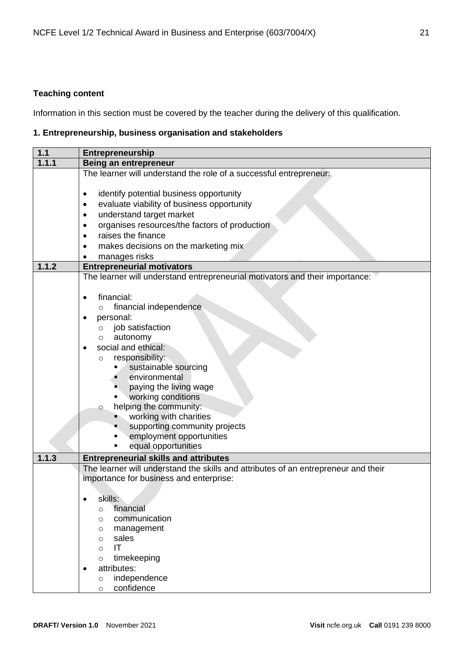# <span id="page-20-0"></span>**Teaching content**

Information in this section must be covered by the teacher during the delivery of this qualification.

# <span id="page-20-1"></span>**1. Entrepreneurship, business organisation and stakeholders**

| 1.1   | Entrepreneurship                                                                   |
|-------|------------------------------------------------------------------------------------|
| 1.1.1 | Being an entrepreneur                                                              |
|       | The learner will understand the role of a successful entrepreneur:                 |
|       | identify potential business opportunity<br>٠                                       |
|       | evaluate viability of business opportunity<br>$\bullet$                            |
|       | understand target market<br>$\bullet$                                              |
|       | organises resources/the factors of production<br>$\bullet$                         |
|       | raises the finance<br>$\bullet$                                                    |
|       | makes decisions on the marketing mix<br>$\bullet$                                  |
|       | manages risks<br>$\bullet$                                                         |
| 1.1.2 | <b>Entrepreneurial motivators</b>                                                  |
|       | The learner will understand entrepreneurial motivators and their importance:       |
|       |                                                                                    |
|       | financial:<br>$\bullet$                                                            |
|       | financial independence<br>$\circ$                                                  |
|       | personal:                                                                          |
|       | job satisfaction<br>$\circ$                                                        |
|       | autonomy<br>$\circ$                                                                |
|       | social and ethical:                                                                |
|       | responsibility:<br>$\circ$                                                         |
|       | sustainable sourcing                                                               |
|       | environmental                                                                      |
|       | paying the living wage<br>working conditions                                       |
|       | helping the community:                                                             |
|       | $\circ$<br>working with charities                                                  |
|       | supporting community projects                                                      |
|       | employment opportunities                                                           |
|       | equal opportunities                                                                |
| 1.1.3 | <b>Entrepreneurial skills and attributes</b>                                       |
|       | The learner will understand the skills and attributes of an entrepreneur and their |
|       | importance for business and enterprise:                                            |
|       |                                                                                    |
|       | skills:                                                                            |
|       | financial<br>$\circ$                                                               |
|       | communication<br>$\circ$                                                           |
|       | management<br>O                                                                    |
|       | sales<br>$\circ$                                                                   |
|       | IT<br>$\circ$                                                                      |
|       | timekeeping<br>$\circ$                                                             |
|       | attributes:                                                                        |
|       | independence<br>$\circ$                                                            |
|       | confidence<br>$\circ$                                                              |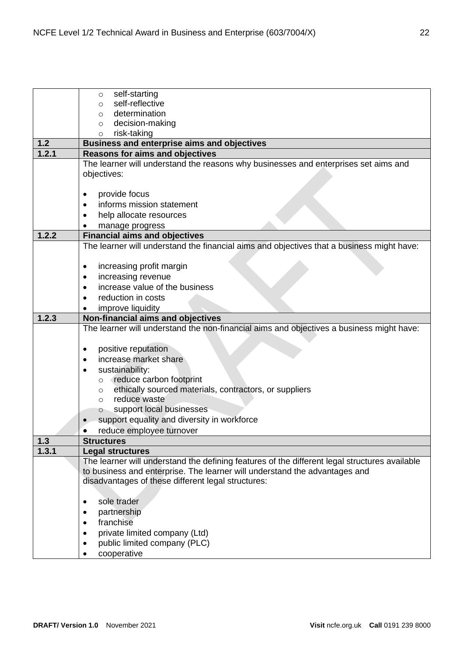|       | self-starting<br>$\circ$                                                                      |
|-------|-----------------------------------------------------------------------------------------------|
|       | self-reflective<br>$\circ$                                                                    |
|       | determination<br>$\circ$                                                                      |
|       | decision-making<br>O                                                                          |
|       | risk-taking<br>$\circ$                                                                        |
| $1.2$ | <b>Business and enterprise aims and objectives</b>                                            |
| 1.2.1 | <b>Reasons for aims and objectives</b>                                                        |
|       | The learner will understand the reasons why businesses and enterprises set aims and           |
|       | objectives:                                                                                   |
|       |                                                                                               |
|       | provide focus<br>٠                                                                            |
|       | informs mission statement                                                                     |
|       | help allocate resources<br>$\bullet$                                                          |
|       | manage progress                                                                               |
| 1.2.2 | <b>Financial aims and objectives</b>                                                          |
|       | The learner will understand the financial aims and objectives that a business might have:     |
|       |                                                                                               |
|       | increasing profit margin<br>٠                                                                 |
|       | increasing revenue<br>$\bullet$                                                               |
|       | increase value of the business<br>$\bullet$                                                   |
|       | reduction in costs                                                                            |
|       | improve liquidity                                                                             |
| 1.2.3 | Non-financial aims and objectives                                                             |
|       | The learner will understand the non-financial aims and objectives a business might have:      |
|       | positive reputation<br>$\bullet$                                                              |
|       | increase market share<br>$\bullet$                                                            |
|       | sustainability:<br>٠                                                                          |
|       | reduce carbon footprint<br>$\circ$                                                            |
|       | ethically sourced materials, contractors, or suppliers<br>$\circ$                             |
|       | reduce waste<br>$\circ$                                                                       |
|       | support local businesses<br>$\circ$                                                           |
|       | support equality and diversity in workforce                                                   |
|       | reduce employee turnover                                                                      |
| 1.3   | <b>Structures</b>                                                                             |
| 1.3.1 | <b>Legal structures</b>                                                                       |
|       | The learner will understand the defining features of the different legal structures available |
|       | to business and enterprise. The learner will understand the advantages and                    |
|       | disadvantages of these different legal structures:                                            |
|       |                                                                                               |
|       | sole trader<br>$\bullet$                                                                      |
|       | partnership                                                                                   |
|       | franchise                                                                                     |
|       | private limited company (Ltd)                                                                 |
|       | public limited company (PLC)                                                                  |
|       | cooperative                                                                                   |
|       |                                                                                               |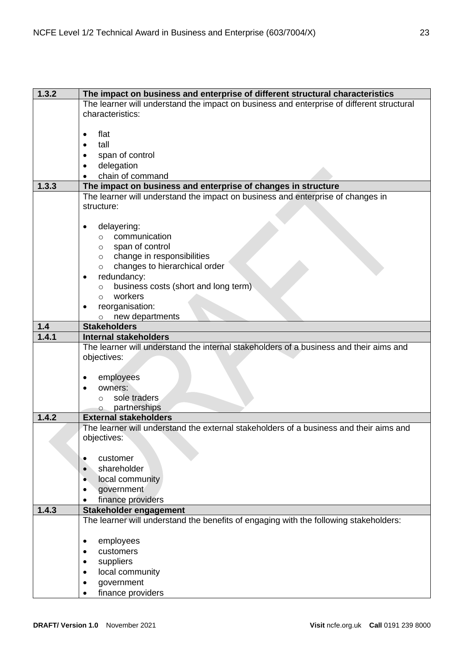| 1.3.2 | The impact on business and enterprise of different structural characteristics             |
|-------|-------------------------------------------------------------------------------------------|
|       | The learner will understand the impact on business and enterprise of different structural |
|       | characteristics:                                                                          |
|       |                                                                                           |
|       | flat                                                                                      |
|       | tall                                                                                      |
|       | span of control<br>$\bullet$                                                              |
|       | delegation                                                                                |
|       | chain of command                                                                          |
| 1.3.3 | The impact on business and enterprise of changes in structure                             |
|       | The learner will understand the impact on business and enterprise of changes in           |
|       | structure:                                                                                |
|       |                                                                                           |
|       |                                                                                           |
|       | delayering:                                                                               |
|       | communication<br>$\circ$                                                                  |
|       | span of control<br>$\circ$                                                                |
|       | change in responsibilities<br>$\circ$                                                     |
|       | changes to hierarchical order<br>$\circ$                                                  |
|       | redundancy:<br>$\bullet$                                                                  |
|       | business costs (short and long term)<br>$\circ$                                           |
|       | workers<br>$\circ$                                                                        |
|       | reorganisation:                                                                           |
|       | new departments<br>$\circ$                                                                |
| $1.4$ | <b>Stakeholders</b>                                                                       |
| 1.4.1 | <b>Internal stakeholders</b>                                                              |
|       | The learner will understand the internal stakeholders of a business and their aims and    |
|       | objectives:                                                                               |
|       |                                                                                           |
|       | employees                                                                                 |
|       | owners:                                                                                   |
|       | sole traders<br>$\circ$                                                                   |
|       | partnerships<br>$\circ$                                                                   |
| 1.4.2 | <b>External stakeholders</b>                                                              |
|       | The learner will understand the external stakeholders of a business and their aims and    |
|       | objectives:                                                                               |
|       |                                                                                           |
|       | customer                                                                                  |
|       | shareholder                                                                               |
|       | local community                                                                           |
|       | government                                                                                |
|       | finance providers                                                                         |
| 1.4.3 | Stakeholder engagement                                                                    |
|       | The learner will understand the benefits of engaging with the following stakeholders:     |
|       |                                                                                           |
|       | employees                                                                                 |
|       | customers                                                                                 |
|       |                                                                                           |
|       | suppliers                                                                                 |
|       | local community                                                                           |
|       | government                                                                                |
|       | finance providers                                                                         |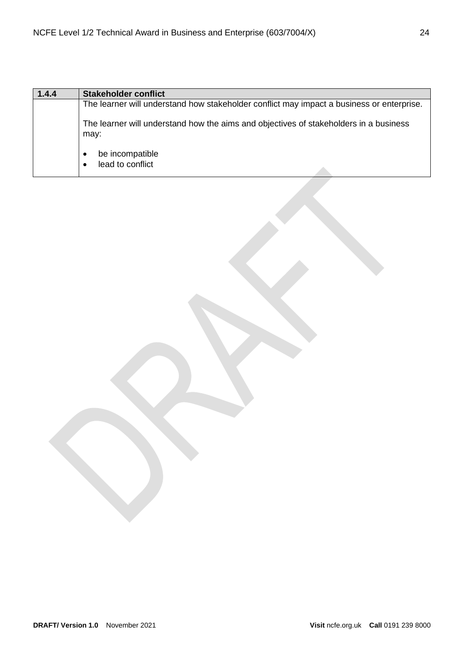<span id="page-23-0"></span>

| 1.4.4 | <b>Stakeholder conflict</b>                                                                   |
|-------|-----------------------------------------------------------------------------------------------|
|       | The learner will understand how stakeholder conflict may impact a business or enterprise.     |
|       | The learner will understand how the aims and objectives of stakeholders in a business<br>may: |
|       | be incompatible<br>lead to conflict                                                           |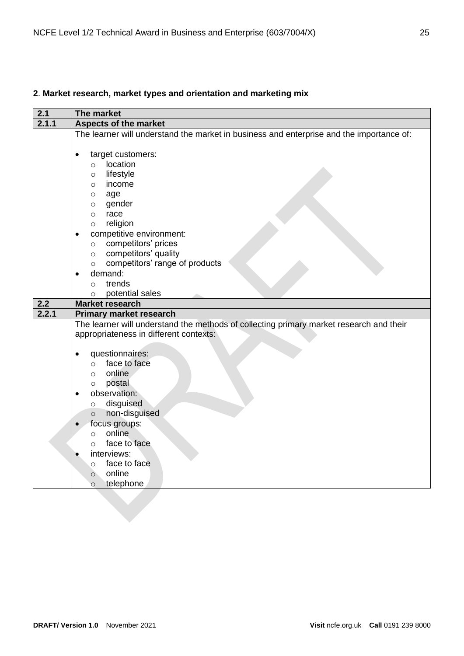# **2**. **Market research, market types and orientation and marketing mix**

| 2.1              | The market                                                                               |
|------------------|------------------------------------------------------------------------------------------|
| 2.1.1            | <b>Aspects of the market</b>                                                             |
|                  | The learner will understand the market in business and enterprise and the importance of: |
|                  |                                                                                          |
|                  | target customers:<br>$\bullet$                                                           |
|                  | location<br>$\circ$                                                                      |
|                  | lifestyle<br>$\circ$                                                                     |
|                  | income<br>$\circ$                                                                        |
|                  | age<br>$\circ$                                                                           |
|                  | gender<br>$\circ$                                                                        |
|                  | race<br>$\circ$                                                                          |
|                  | religion<br>$\circ$                                                                      |
|                  | competitive environment:                                                                 |
|                  | competitors' prices<br>$\circ$                                                           |
|                  | competitors' quality<br>$\circ$                                                          |
|                  | competitors' range of products<br>$\circ$                                                |
|                  | demand:                                                                                  |
|                  | trends<br>$\circ$                                                                        |
|                  | potential sales<br>$\circ$                                                               |
| $2.\overline{2}$ | <b>Market research</b>                                                                   |
| 2.2.1            | <b>Primary market research</b>                                                           |
|                  | The learner will understand the methods of collecting primary market research and their  |
|                  | appropriateness in different contexts:                                                   |
|                  | questionnaires:                                                                          |
|                  | face to face<br>$\circ$                                                                  |
|                  | online<br>$\circ$                                                                        |
|                  | postal<br>$\circ$                                                                        |
|                  | observation:                                                                             |
|                  | disguised<br>$\circ$                                                                     |
|                  | non-disguised<br>$\circ$                                                                 |
|                  | focus groups:                                                                            |
|                  | online<br>$\circ$                                                                        |
|                  | face to face<br>$\circ$                                                                  |
|                  | interviews:                                                                              |
|                  | face to face<br>$\circ$                                                                  |
|                  | online<br>$\circ$                                                                        |
|                  | telephone<br>$\circ$                                                                     |
|                  |                                                                                          |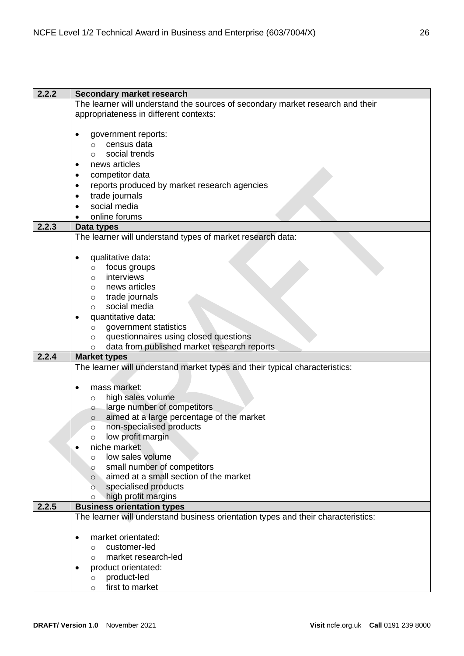| 2.2.2 | Secondary market research                                                         |
|-------|-----------------------------------------------------------------------------------|
|       | The learner will understand the sources of secondary market research and their    |
|       | appropriateness in different contexts:                                            |
|       |                                                                                   |
|       | government reports:<br>$\bullet$                                                  |
|       | census data<br>$\circ$                                                            |
|       | social trends<br>$\circ$                                                          |
|       | news articles<br>٠                                                                |
|       | competitor data<br>٠                                                              |
|       | reports produced by market research agencies<br>٠                                 |
|       | trade journals                                                                    |
|       | social media                                                                      |
|       |                                                                                   |
|       | online forums                                                                     |
| 2.2.3 | Data types                                                                        |
|       | The learner will understand types of market research data:                        |
|       |                                                                                   |
|       | qualitative data:                                                                 |
|       | focus groups<br>$\circ$                                                           |
|       | interviews<br>$\circ$                                                             |
|       | news articles<br>$\circ$                                                          |
|       | trade journals<br>$\circ$                                                         |
|       | social media<br>$\circ$                                                           |
|       | quantitative data:                                                                |
|       | government statistics<br>$\circ$                                                  |
|       | questionnaires using closed questions<br>$\circ$                                  |
|       | data from published market research reports<br>$\circ$                            |
| 2.2.4 | <b>Market types</b>                                                               |
|       | The learner will understand market types and their typical characteristics:       |
|       |                                                                                   |
|       | mass market:                                                                      |
|       | high sales volume<br>$\circ$                                                      |
|       | large number of competitors<br>$\circ$                                            |
|       | aimed at a large percentage of the market<br>$\circ$                              |
|       | non-specialised products<br>$\circ$                                               |
|       | low profit margin<br>$\circ$                                                      |
|       | niche market:                                                                     |
|       | low sales volume<br>$\circ$                                                       |
|       | small number of competitors<br>$\circ$                                            |
|       | aimed at a small section of the market<br>$\circ$                                 |
|       | specialised products<br>$\circ$                                                   |
|       | high profit margins<br>$\circ$                                                    |
| 2.2.5 | <b>Business orientation types</b>                                                 |
|       | The learner will understand business orientation types and their characteristics: |
|       |                                                                                   |
|       | market orientated:                                                                |
|       | customer-led<br>O                                                                 |
|       | market research-led<br>$\circ$                                                    |
|       | product orientated:<br>$\bullet$                                                  |
|       | product-led<br>$\circ$                                                            |
|       | first to market<br>$\circ$                                                        |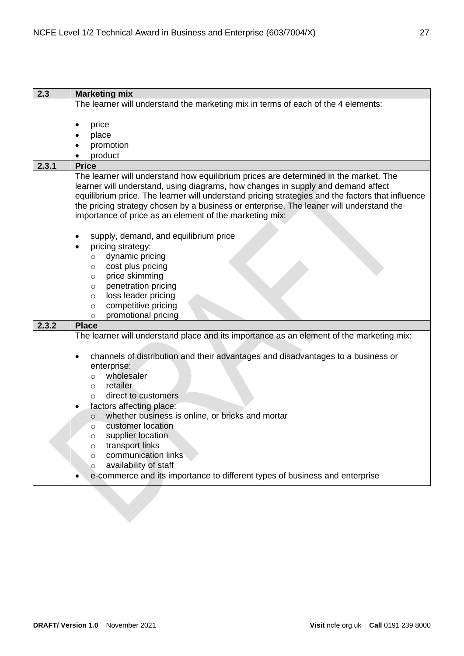| 2.3   | <b>Marketing mix</b>                                                                                                                                                                                                                                                                                                                                                                                                               |
|-------|------------------------------------------------------------------------------------------------------------------------------------------------------------------------------------------------------------------------------------------------------------------------------------------------------------------------------------------------------------------------------------------------------------------------------------|
|       | The learner will understand the marketing mix in terms of each of the 4 elements:                                                                                                                                                                                                                                                                                                                                                  |
|       |                                                                                                                                                                                                                                                                                                                                                                                                                                    |
|       | price                                                                                                                                                                                                                                                                                                                                                                                                                              |
|       | place                                                                                                                                                                                                                                                                                                                                                                                                                              |
|       | promotion                                                                                                                                                                                                                                                                                                                                                                                                                          |
|       | product                                                                                                                                                                                                                                                                                                                                                                                                                            |
| 2.3.1 | <b>Price</b>                                                                                                                                                                                                                                                                                                                                                                                                                       |
|       | The learner will understand how equilibrium prices are determined in the market. The<br>learner will understand, using diagrams, how changes in supply and demand affect<br>equilibrium price. The learner will understand pricing strategies and the factors that influence<br>the pricing strategy chosen by a business or enterprise. The leaner will understand the<br>importance of price as an element of the marketing mix: |
|       | supply, demand, and equilibrium price                                                                                                                                                                                                                                                                                                                                                                                              |
|       | pricing strategy:                                                                                                                                                                                                                                                                                                                                                                                                                  |
|       | dynamic pricing<br>$\circ$                                                                                                                                                                                                                                                                                                                                                                                                         |
|       | cost plus pricing<br>$\circ$                                                                                                                                                                                                                                                                                                                                                                                                       |
|       | price skimming<br>$\circ$                                                                                                                                                                                                                                                                                                                                                                                                          |
|       | penetration pricing<br>$\circ$                                                                                                                                                                                                                                                                                                                                                                                                     |
|       | loss leader pricing<br>$\circ$                                                                                                                                                                                                                                                                                                                                                                                                     |
|       | competitive pricing<br>$\circ$                                                                                                                                                                                                                                                                                                                                                                                                     |
| 2.3.2 | promotional pricing<br>$\circ$<br><b>Place</b>                                                                                                                                                                                                                                                                                                                                                                                     |
|       | The learner will understand place and its importance as an element of the marketing mix:                                                                                                                                                                                                                                                                                                                                           |
|       |                                                                                                                                                                                                                                                                                                                                                                                                                                    |
|       | channels of distribution and their advantages and disadvantages to a business or<br>$\bullet$                                                                                                                                                                                                                                                                                                                                      |
|       | enterprise:                                                                                                                                                                                                                                                                                                                                                                                                                        |
|       | wholesaler<br>$\circ$                                                                                                                                                                                                                                                                                                                                                                                                              |
|       | retailer<br>$\circ$                                                                                                                                                                                                                                                                                                                                                                                                                |
|       | direct to customers<br>$\circ$                                                                                                                                                                                                                                                                                                                                                                                                     |
|       | factors affecting place:                                                                                                                                                                                                                                                                                                                                                                                                           |
|       | whether business is online, or bricks and mortar<br>$\circ$                                                                                                                                                                                                                                                                                                                                                                        |
|       | customer location<br>$\circ$                                                                                                                                                                                                                                                                                                                                                                                                       |
|       | supplier location<br>$\circ$                                                                                                                                                                                                                                                                                                                                                                                                       |
|       | transport links<br>$\circ$<br>communication links                                                                                                                                                                                                                                                                                                                                                                                  |
|       | O<br>availability of staff<br>$\circ$                                                                                                                                                                                                                                                                                                                                                                                              |
|       | e-commerce and its importance to different types of business and enterprise                                                                                                                                                                                                                                                                                                                                                        |
|       |                                                                                                                                                                                                                                                                                                                                                                                                                                    |
|       |                                                                                                                                                                                                                                                                                                                                                                                                                                    |
|       |                                                                                                                                                                                                                                                                                                                                                                                                                                    |
|       |                                                                                                                                                                                                                                                                                                                                                                                                                                    |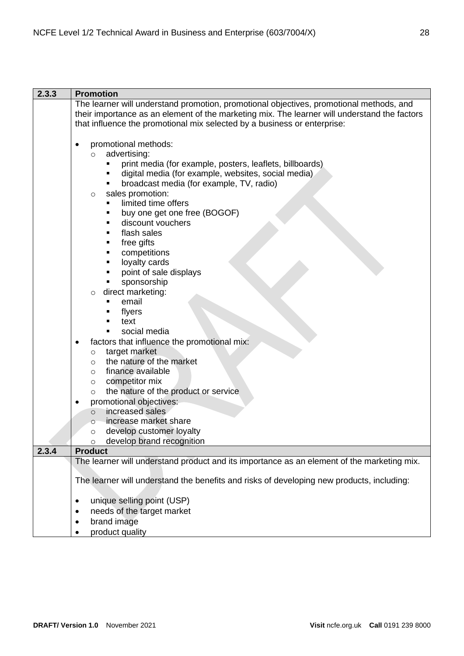| 2.3.3 | <b>Promotion</b>                                                                             |
|-------|----------------------------------------------------------------------------------------------|
|       | The learner will understand promotion, promotional objectives, promotional methods, and      |
|       | their importance as an element of the marketing mix. The learner will understand the factors |
|       | that influence the promotional mix selected by a business or enterprise:                     |
|       |                                                                                              |
|       | promotional methods:                                                                         |
|       | advertising:<br>$\circ$                                                                      |
|       | print media (for example, posters, leaflets, billboards)                                     |
|       | digital media (for example, websites, social media)<br>٠                                     |
|       | broadcast media (for example, TV, radio)<br>٠                                                |
|       |                                                                                              |
|       | sales promotion:<br>$\circ$<br>limited time offers                                           |
|       | ٠                                                                                            |
|       | buy one get one free (BOGOF)<br>٠                                                            |
|       | discount vouchers<br>$\blacksquare$                                                          |
|       | flash sales<br>п                                                                             |
|       | free gifts<br>٠                                                                              |
|       | competitions                                                                                 |
|       | loyalty cards                                                                                |
|       | point of sale displays                                                                       |
|       | sponsorship                                                                                  |
|       | direct marketing:<br>$\circ$                                                                 |
|       | email                                                                                        |
|       | flyers<br>٠                                                                                  |
|       | text                                                                                         |
|       | social media                                                                                 |
|       | factors that influence the promotional mix:                                                  |
|       | target market<br>$\circ$                                                                     |
|       | the nature of the market<br>$\circ$                                                          |
|       | finance available<br>$\circ$                                                                 |
|       | competitor mix<br>$\circ$                                                                    |
|       | the nature of the product or service<br>$\circ$                                              |
|       | promotional objectives:                                                                      |
|       | increased sales<br>$\circ$                                                                   |
|       | increase market share<br>$\Omega$                                                            |
|       | develop customer loyalty<br>O                                                                |
|       | develop brand recognition<br>$\circ$                                                         |
| 2.3.4 | <b>Product</b>                                                                               |
|       | The learner will understand product and its importance as an element of the marketing mix.   |
|       |                                                                                              |
|       | The learner will understand the benefits and risks of developing new products, including:    |
|       |                                                                                              |
|       | unique selling point (USP)<br>٠                                                              |
|       | needs of the target market<br>$\bullet$                                                      |
|       | brand image                                                                                  |
|       | product quality                                                                              |
|       |                                                                                              |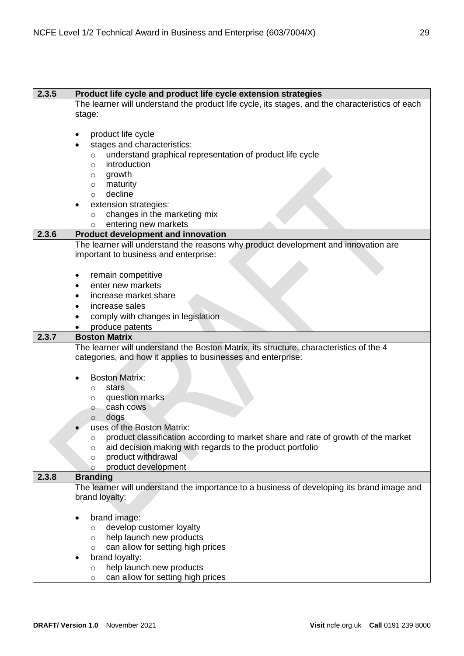|       | Product life cycle and product life cycle extension strategies                                  |
|-------|-------------------------------------------------------------------------------------------------|
|       | The learner will understand the product life cycle, its stages, and the characteristics of each |
|       | stage:                                                                                          |
|       |                                                                                                 |
|       | product life cycle<br>٠                                                                         |
|       | stages and characteristics:                                                                     |
|       | understand graphical representation of product life cycle<br>$\circ$                            |
|       | introduction<br>$\circ$                                                                         |
|       | growth<br>$\circ$                                                                               |
|       | maturity<br>$\circ$                                                                             |
|       | decline<br>$\Omega$                                                                             |
|       | extension strategies:                                                                           |
|       | changes in the marketing mix                                                                    |
|       | $\circ$                                                                                         |
|       | entering new markets<br>O                                                                       |
| 2.3.6 | <b>Product development and innovation</b>                                                       |
|       | The learner will understand the reasons why product development and innovation are              |
|       | important to business and enterprise:                                                           |
|       |                                                                                                 |
|       | remain competitive<br>٠                                                                         |
|       | enter new markets                                                                               |
|       | increase market share                                                                           |
|       | increase sales<br>٠                                                                             |
|       | comply with changes in legislation                                                              |
|       | produce patents                                                                                 |
| 2.3.7 | <b>Boston Matrix</b>                                                                            |
|       | The learner will understand the Boston Matrix, its structure, characteristics of the 4          |
|       | categories, and how it applies to businesses and enterprise:                                    |
|       |                                                                                                 |
|       | <b>Boston Matrix:</b>                                                                           |
|       | stars<br>$\circ$                                                                                |
|       |                                                                                                 |
|       |                                                                                                 |
|       | question marks<br>O                                                                             |
|       | cash cows<br>$\circ$                                                                            |
|       | dogs<br>$\circ$                                                                                 |
|       | uses of the Boston Matrix:                                                                      |
|       | product classification according to market share and rate of growth of the market               |
|       | aid decision making with regards to the product portfolio<br>O                                  |
|       | product withdrawal<br>$\circ$                                                                   |
|       | product development<br>$\circ$                                                                  |
| 2.3.8 | <b>Branding</b>                                                                                 |
|       | The learner will understand the importance to a business of developing its brand image and      |
|       | brand loyalty:                                                                                  |
|       |                                                                                                 |
|       | brand image:<br>٠                                                                               |
|       | develop customer loyalty<br>$\circ$                                                             |
|       | help launch new products<br>$\circ$                                                             |
|       | can allow for setting high prices<br>O                                                          |
|       | brand loyalty:                                                                                  |
|       | help launch new products<br>$\circ$<br>can allow for setting high prices                        |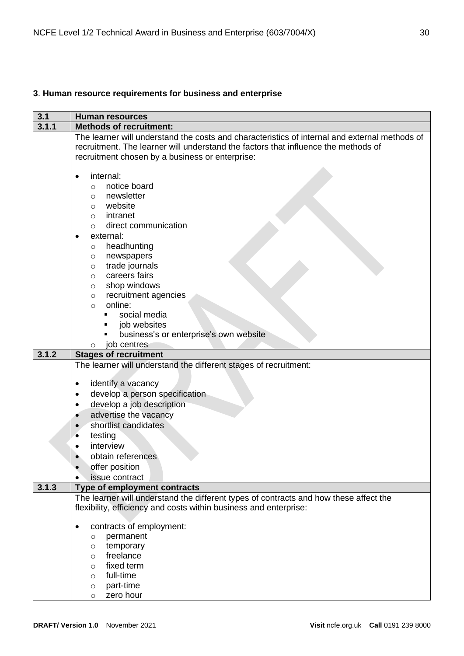# <span id="page-29-0"></span>**3**. **Human resource requirements for business and enterprise**

| 3.1   | <b>Human resources</b>                                                                        |
|-------|-----------------------------------------------------------------------------------------------|
| 3.1.1 | <b>Methods of recruitment:</b>                                                                |
|       | The learner will understand the costs and characteristics of internal and external methods of |
|       | recruitment. The learner will understand the factors that influence the methods of            |
|       | recruitment chosen by a business or enterprise:                                               |
|       |                                                                                               |
|       | internal:                                                                                     |
|       | notice board<br>$\circ$                                                                       |
|       | newsletter<br>$\circ$                                                                         |
|       | website<br>$\circ$                                                                            |
|       | intranet<br>$\circ$                                                                           |
|       | direct communication<br>$\circ$                                                               |
|       | external:                                                                                     |
|       | headhunting<br>O                                                                              |
|       | newspapers<br>$\circ$                                                                         |
|       | trade journals<br>$\circ$                                                                     |
|       | careers fairs<br>$\circ$                                                                      |
|       | shop windows<br>$\circ$                                                                       |
|       | recruitment agencies<br>$\circ$                                                               |
|       | online:<br>$\circ$                                                                            |
|       | social media<br>$\blacksquare$                                                                |
|       | job websites                                                                                  |
|       | business's or enterprise's own website                                                        |
|       | job centres<br>$\circ$                                                                        |
| 3.1.2 | <b>Stages of recruitment</b>                                                                  |
|       | The learner will understand the different stages of recruitment:                              |
|       |                                                                                               |
|       | identify a vacancy<br>$\bullet$                                                               |
|       | develop a person specification<br>$\bullet$                                                   |
|       | develop a job description<br>$\bullet$                                                        |
|       | advertise the vacancy                                                                         |
|       | shortlist candidates                                                                          |
|       | testing                                                                                       |
|       | interview                                                                                     |
|       | obtain references                                                                             |
|       | offer position                                                                                |
|       | issue contract                                                                                |
| 3.1.3 | Type of employment contracts                                                                  |
|       | The learner will understand the different types of contracts and how these affect the         |
|       | flexibility, efficiency and costs within business and enterprise:                             |
|       |                                                                                               |
|       | contracts of employment:<br>$\bullet$                                                         |
|       | permanent<br>$\circ$                                                                          |
|       | temporary<br>$\circ$                                                                          |
|       | freelance<br>$\circ$                                                                          |
|       | fixed term<br>$\circ$                                                                         |
|       | full-time<br>$\circ$                                                                          |
|       | part-time<br>$\circ$                                                                          |
|       | zero hour<br>$\circ$                                                                          |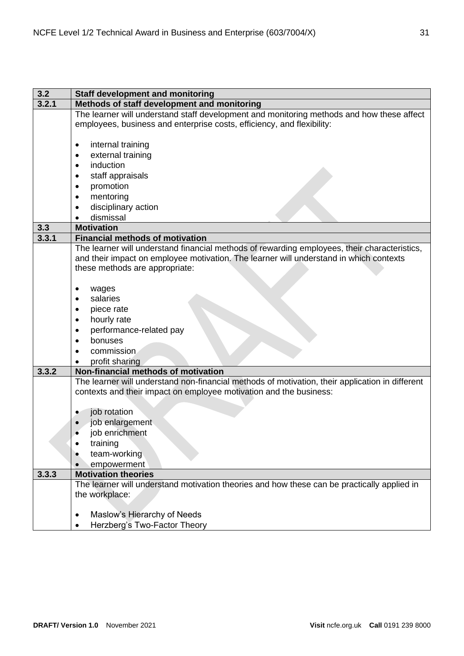| 3.2   | <b>Staff development and monitoring</b>                                                         |
|-------|-------------------------------------------------------------------------------------------------|
| 3.2.1 | Methods of staff development and monitoring                                                     |
|       | The learner will understand staff development and monitoring methods and how these affect       |
|       | employees, business and enterprise costs, efficiency, and flexibility:                          |
|       |                                                                                                 |
|       | internal training<br>$\bullet$                                                                  |
|       | external training<br>٠                                                                          |
|       | induction<br>$\bullet$                                                                          |
|       | staff appraisals                                                                                |
|       | promotion                                                                                       |
|       | mentoring                                                                                       |
|       | disciplinary action                                                                             |
|       | dismissal                                                                                       |
| 3.3   | <b>Motivation</b>                                                                               |
| 3.3.1 | <b>Financial methods of motivation</b>                                                          |
|       | The learner will understand financial methods of rewarding employees, their characteristics,    |
|       | and their impact on employee motivation. The learner will understand in which contexts          |
|       | these methods are appropriate:                                                                  |
|       |                                                                                                 |
|       | wages<br>٠                                                                                      |
|       | salaries<br>$\bullet$                                                                           |
|       | piece rate<br>$\bullet$                                                                         |
|       | hourly rate<br>$\bullet$                                                                        |
|       | performance-related pay                                                                         |
|       | bonuses                                                                                         |
|       | commission.                                                                                     |
|       | profit sharing<br>$\bullet$                                                                     |
| 3.3.2 | Non-financial methods of motivation                                                             |
|       | The learner will understand non-financial methods of motivation, their application in different |
|       | contexts and their impact on employee motivation and the business:                              |
|       |                                                                                                 |
|       | job rotation                                                                                    |
|       | job enlargement                                                                                 |
|       | job enrichment                                                                                  |
|       | training                                                                                        |
|       | team-working                                                                                    |
|       | empowerment                                                                                     |
| 3.3.3 | <b>Motivation theories</b>                                                                      |
|       | The learner will understand motivation theories and how these can be practically applied in     |
|       | the workplace:                                                                                  |
|       |                                                                                                 |
|       | Maslow's Hierarchy of Needs<br>$\bullet$                                                        |
|       | Herzberg's Two-Factor Theory<br>$\bullet$                                                       |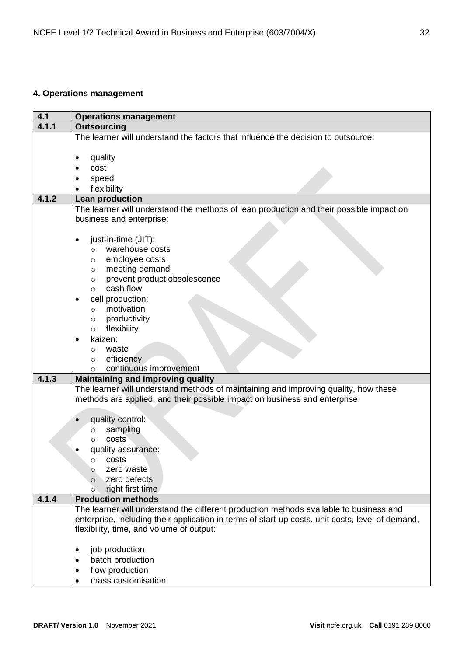# <span id="page-31-0"></span>**4. Operations management**

| 4.1   | <b>Operations management</b>                                                                     |
|-------|--------------------------------------------------------------------------------------------------|
| 4.1.1 | <b>Outsourcing</b>                                                                               |
|       | The learner will understand the factors that influence the decision to outsource:                |
|       |                                                                                                  |
|       | quality                                                                                          |
|       | cost                                                                                             |
|       | speed                                                                                            |
|       | flexibility                                                                                      |
| 4.1.2 | <b>Lean production</b>                                                                           |
|       | The learner will understand the methods of lean production and their possible impact on          |
|       | business and enterprise:                                                                         |
|       |                                                                                                  |
|       | just-in-time (JIT):<br>$\bullet$                                                                 |
|       | warehouse costs<br>$\circ$                                                                       |
|       | employee costs<br>$\circ$                                                                        |
|       | meeting demand<br>$\circ$                                                                        |
|       | prevent product obsolescence<br>$\circ$                                                          |
|       | cash flow<br>$\circ$                                                                             |
|       | cell production:                                                                                 |
|       | motivation<br>$\circ$                                                                            |
|       | productivity<br>$\circ$                                                                          |
|       | flexibility<br>$\circ$                                                                           |
|       | kaizen:                                                                                          |
|       | waste<br>$\circ$                                                                                 |
|       | efficiency<br>$\circ$                                                                            |
|       | continuous improvement<br>$\circ$                                                                |
| 4.1.3 | <b>Maintaining and improving quality</b>                                                         |
|       | The learner will understand methods of maintaining and improving quality, how these              |
|       | methods are applied, and their possible impact on business and enterprise:                       |
|       |                                                                                                  |
|       | quality control:                                                                                 |
|       | sampling<br>$\circ$                                                                              |
|       | costs<br>O                                                                                       |
|       | quality assurance:                                                                               |
|       | costs                                                                                            |
|       | zero waste<br>$\circ$                                                                            |
|       | zero defects<br>$\Omega$                                                                         |
|       | right first time<br>$\circ$                                                                      |
| 4.1.4 | <b>Production methods</b>                                                                        |
|       | The learner will understand the different production methods available to business and           |
|       | enterprise, including their application in terms of start-up costs, unit costs, level of demand, |
|       | flexibility, time, and volume of output:                                                         |
|       |                                                                                                  |
|       | job production<br>٠                                                                              |
|       | batch production<br>$\bullet$                                                                    |
|       | flow production                                                                                  |
|       | mass customisation                                                                               |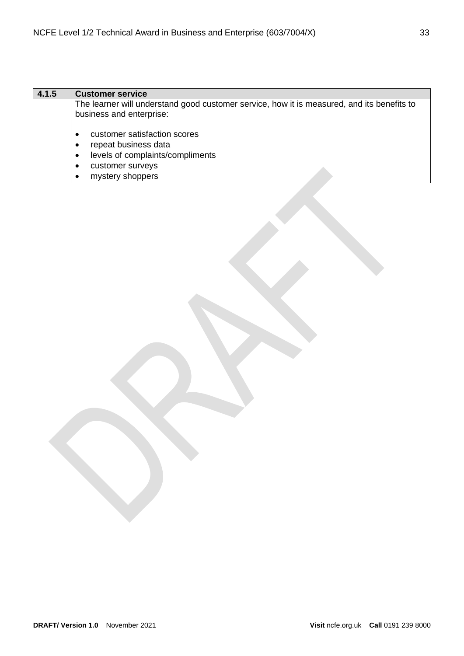<span id="page-32-0"></span>

| 4.1.5 | <b>Customer service</b>                                                                                                                    |
|-------|--------------------------------------------------------------------------------------------------------------------------------------------|
|       | The learner will understand good customer service, how it is measured, and its benefits to<br>business and enterprise:                     |
|       | customer satisfaction scores<br>repeat business data<br>levels of complaints/compliments<br>٠<br>customer surveys<br>٠<br>mystery shoppers |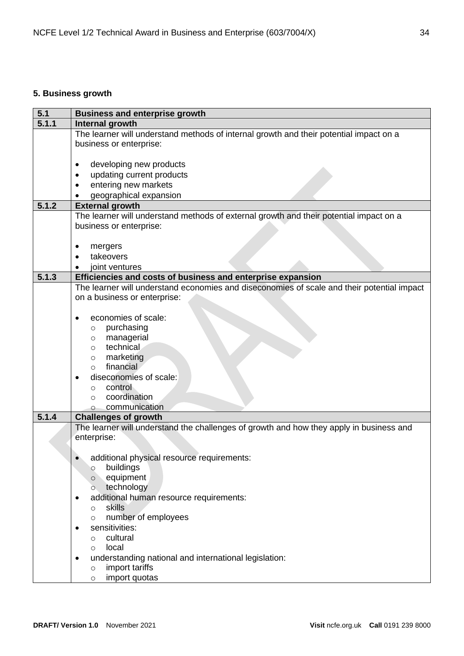# **5. Business growth**

<span id="page-33-0"></span>

| 5.1   | <b>Business and enterprise growth</b>                                                      |
|-------|--------------------------------------------------------------------------------------------|
| 5.1.1 | Internal growth                                                                            |
|       | The learner will understand methods of internal growth and their potential impact on a     |
|       | business or enterprise:                                                                    |
|       |                                                                                            |
|       | developing new products<br>$\bullet$                                                       |
|       | updating current products<br>$\bullet$                                                     |
|       | entering new markets                                                                       |
|       | geographical expansion                                                                     |
| 5.1.2 | <b>External growth</b>                                                                     |
|       | The learner will understand methods of external growth and their potential impact on a     |
|       | business or enterprise:                                                                    |
|       |                                                                                            |
|       | mergers                                                                                    |
|       | takeovers                                                                                  |
|       | joint ventures                                                                             |
| 5.1.3 | Efficiencies and costs of business and enterprise expansion                                |
|       | The learner will understand economies and diseconomies of scale and their potential impact |
|       | on a business or enterprise:                                                               |
|       |                                                                                            |
|       | economies of scale:<br>$\bullet$                                                           |
|       | purchasing<br>$\circ$                                                                      |
|       | managerial<br>$\circ$                                                                      |
|       | technical<br>$\circ$                                                                       |
|       | marketing<br>$\circ$                                                                       |
|       | financial<br>$\circ$                                                                       |
|       | diseconomies of scale:                                                                     |
|       | control<br>$\circ$                                                                         |
|       | coordination<br>$\circ$                                                                    |
|       | communication<br>$\circ$                                                                   |
| 5.1.4 | <b>Challenges of growth</b>                                                                |
|       | The learner will understand the challenges of growth and how they apply in business and    |
|       | enterprise:                                                                                |
|       |                                                                                            |
|       | additional physical resource requirements:                                                 |
|       | buildings<br>$\circ$                                                                       |
|       | equipment<br>$\circ$<br>technology                                                         |
|       | $\circ$                                                                                    |
|       | additional human resource requirements:<br>skills                                          |
|       | $\circ$                                                                                    |
|       | number of employees<br>O                                                                   |
|       | sensitivities:                                                                             |
|       | cultural<br>$\circ$                                                                        |
|       | local<br>$\circ$                                                                           |
|       | understanding national and international legislation:<br>$\bullet$                         |
|       | import tariffs<br>$\circ$                                                                  |
|       | import quotas<br>$\circ$                                                                   |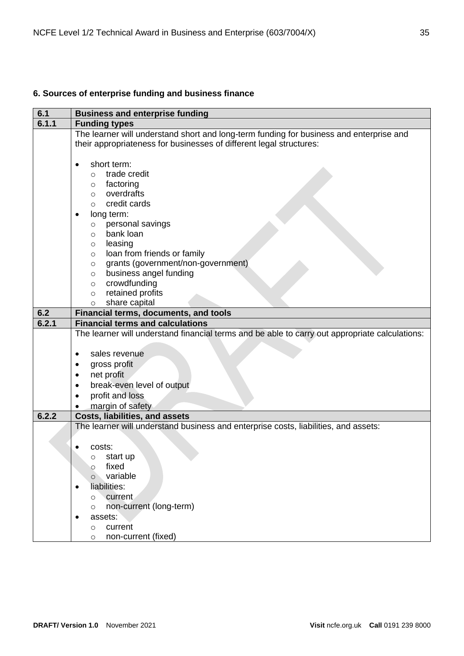# **6. Sources of enterprise funding and business finance**

| 6.1   | <b>Business and enterprise funding</b>                                                                                                                                                                                                                                                                                         |
|-------|--------------------------------------------------------------------------------------------------------------------------------------------------------------------------------------------------------------------------------------------------------------------------------------------------------------------------------|
| 6.1.1 | <b>Funding types</b>                                                                                                                                                                                                                                                                                                           |
|       | The learner will understand short and long-term funding for business and enterprise and<br>their appropriateness for businesses of different legal structures:                                                                                                                                                                 |
|       | short term:<br>$\bullet$<br>trade credit<br>$\circ$<br>factoring<br>$\circ$<br>overdrafts<br>$\circ$<br>credit cards<br>$\circ$<br>long term:<br>$\bullet$<br>personal savings<br>$\circ$<br>bank loan<br>$\Omega$                                                                                                             |
|       | leasing<br>$\circ$<br>loan from friends or family<br>$\circ$<br>grants (government/non-government)<br>$\circ$<br>business angel funding<br>$\circ$<br>crowdfunding<br>$\circ$<br>retained profits<br>$\circ$<br>share capital<br>$\circ$                                                                                       |
| 6.2   | Financial terms, documents, and tools                                                                                                                                                                                                                                                                                          |
| 6.2.1 | <b>Financial terms and calculations</b>                                                                                                                                                                                                                                                                                        |
|       | The learner will understand financial terms and be able to carry out appropriate calculations:<br>sales revenue<br>gross profit<br>$\bullet$<br>net profit<br>break-even level of output<br>profit and loss<br>margin of safety                                                                                                |
| 6.2.2 | Costs, liabilities, and assets                                                                                                                                                                                                                                                                                                 |
|       | The learner will understand business and enterprise costs, liabilities, and assets:<br>costs:<br>start up<br>O<br>fixed<br>$\Omega$<br>variable<br>$\Omega$<br>liabilities:<br>$\bullet$<br>current<br>$\circ$<br>non-current (long-term)<br>O<br>assets:<br>$\bullet$<br>current<br>$\circ$<br>non-current (fixed)<br>$\circ$ |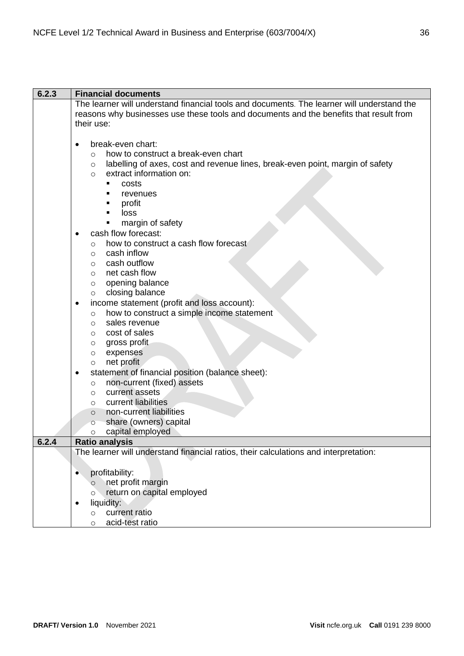| 6.2.3 | <b>Financial documents</b>                                                                 |
|-------|--------------------------------------------------------------------------------------------|
|       | The learner will understand financial tools and documents. The learner will understand the |
|       | reasons why businesses use these tools and documents and the benefits that result from     |
|       | their use:                                                                                 |
|       |                                                                                            |
|       | break-even chart:<br>٠                                                                     |
|       | how to construct a break-even chart<br>$\Omega$                                            |
|       | labelling of axes, cost and revenue lines, break-even point, margin of safety<br>$\circ$   |
|       | extract information on:<br>$\Omega$                                                        |
|       | costs                                                                                      |
|       | revenues<br>■                                                                              |
|       | profit                                                                                     |
|       | loss<br>٠                                                                                  |
|       | margin of safety<br>٠                                                                      |
|       | cash flow forecast:                                                                        |
|       | how to construct a cash flow forecast<br>$\circ$                                           |
|       | cash inflow<br>O                                                                           |
|       | cash outflow<br>$\circ$                                                                    |
|       | net cash flow<br>$\circ$                                                                   |
|       | opening balance<br>$\circ$                                                                 |
|       | closing balance<br>$\circ$                                                                 |
|       | income statement (profit and loss account):<br>٠                                           |
|       | how to construct a simple income statement<br>$\circ$                                      |
|       | sales revenue<br>O                                                                         |
|       | cost of sales<br>O                                                                         |
|       | gross profit<br>O                                                                          |
|       | expenses<br>O                                                                              |
|       | net profit                                                                                 |
|       | O<br>statement of financial position (balance sheet):                                      |
|       | ٠<br>non-current (fixed) assets                                                            |
|       | $\circ$<br>current assets                                                                  |
|       | O<br>current liabilities<br>$\circ$                                                        |
|       | non-current liabilities                                                                    |
|       | $\circ$<br>share (owners) capital<br>$\circ$                                               |
|       | capital employed<br>$\circ$                                                                |
| 6.2.4 | <b>Ratio analysis</b>                                                                      |
|       | The learner will understand financial ratios, their calculations and interpretation:       |
|       |                                                                                            |
|       | profitability:<br>$\bullet$                                                                |
|       | net profit margin                                                                          |
|       | return on capital employed<br>O                                                            |
|       | liquidity:<br>$\bullet$                                                                    |
|       | current ratio<br>$\circ$                                                                   |
|       | acid-test ratio                                                                            |
|       | O                                                                                          |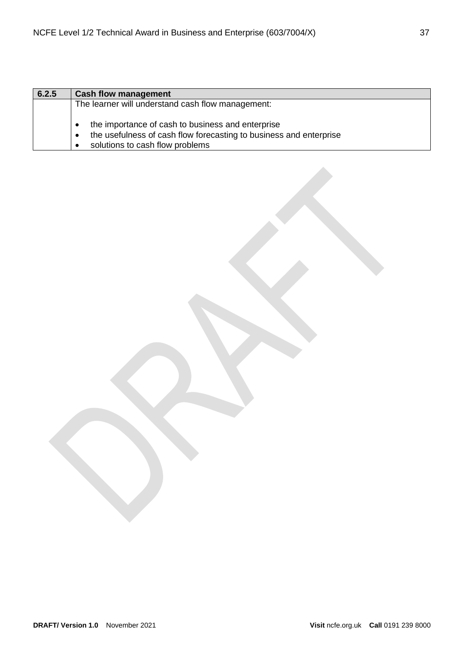| 6.2.5 | <b>Cash flow management</b>                                                                                                                                |
|-------|------------------------------------------------------------------------------------------------------------------------------------------------------------|
|       | The learner will understand cash flow management:                                                                                                          |
|       | the importance of cash to business and enterprise<br>the usefulness of cash flow forecasting to business and enterprise<br>solutions to cash flow problems |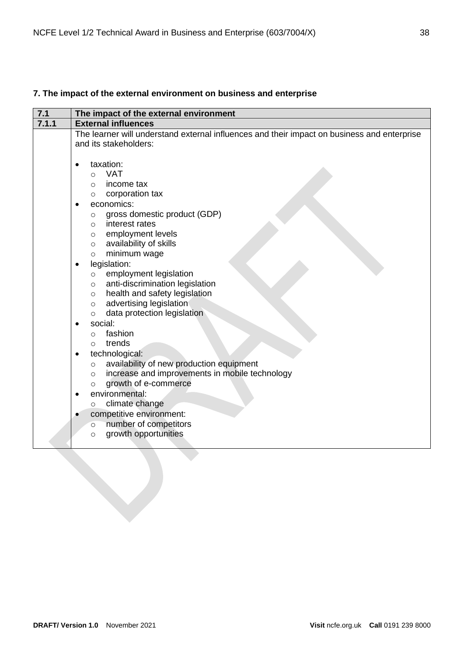# <span id="page-37-0"></span>**7. The impact of the external environment on business and enterprise**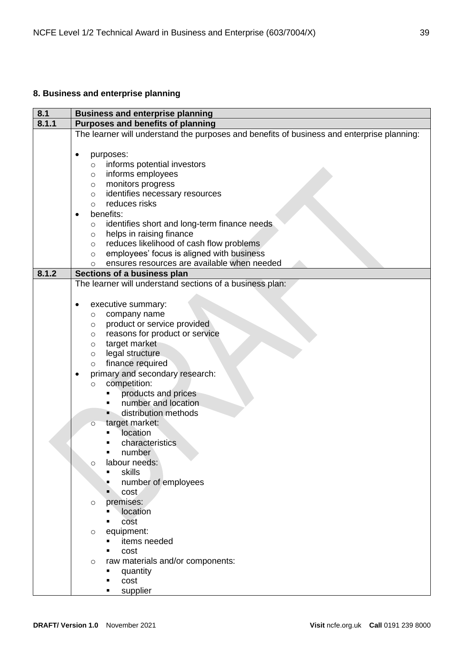# <span id="page-38-0"></span>**8. Business and enterprise planning**

| 8.1   | <b>Business and enterprise planning</b>                                                    |
|-------|--------------------------------------------------------------------------------------------|
| 8.1.1 | <b>Purposes and benefits of planning</b>                                                   |
|       | The learner will understand the purposes and benefits of business and enterprise planning: |
|       |                                                                                            |
|       | purposes:<br>$\bullet$                                                                     |
|       | informs potential investors<br>$\circ$                                                     |
|       | informs employees<br>$\circ$                                                               |
|       | monitors progress<br>$\circ$                                                               |
|       | identifies necessary resources<br>$\circ$                                                  |
|       | reduces risks<br>$\circ$                                                                   |
|       | benefits:<br>$\bullet$                                                                     |
|       | identifies short and long-term finance needs<br>O                                          |
|       | helps in raising finance<br>$\circ$                                                        |
|       | reduces likelihood of cash flow problems<br>$\circ$                                        |
|       | employees' focus is aligned with business<br>$\circ$                                       |
|       | ensures resources are available when needed<br>$\circ$                                     |
| 8.1.2 | Sections of a business plan                                                                |
|       | The learner will understand sections of a business plan:                                   |
|       |                                                                                            |
|       | executive summary:<br>$\bullet$                                                            |
|       | company name<br>$\circ$                                                                    |
|       | product or service provided<br>$\circ$                                                     |
|       | reasons for product or service<br>$\circ$                                                  |
|       | target market<br>$\circ$                                                                   |
|       | legal structure<br>$\circ$                                                                 |
|       | finance required<br>$\circ$                                                                |
|       | primary and secondary research:<br>$\bullet$                                               |
|       | competition:<br>$\circ$                                                                    |
|       | products and prices                                                                        |
|       | number and location                                                                        |
|       | distribution methods                                                                       |
|       | target market:<br>$\circ$                                                                  |
|       | location                                                                                   |
|       | characteristics                                                                            |
|       | number                                                                                     |
|       | labour needs:<br>$\circ$                                                                   |
|       | skills                                                                                     |
|       | number of employees<br>п                                                                   |
|       | cost                                                                                       |
|       | premises:<br>$\circ$                                                                       |
|       | location<br>٠                                                                              |
|       | cost<br>٠                                                                                  |
|       | equipment:<br>$\circ$                                                                      |
|       | items needed                                                                               |
|       | cost<br>п                                                                                  |
|       | raw materials and/or components:<br>$\circ$                                                |
|       | quantity<br>٠                                                                              |
|       | cost                                                                                       |
|       | supplier                                                                                   |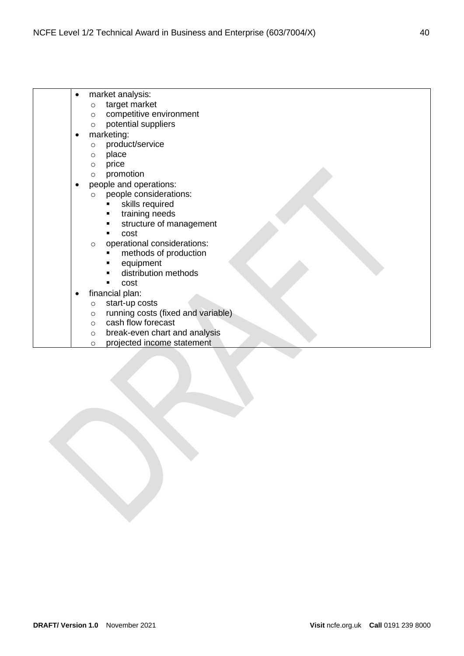• market analysis: o target market o competitive environment o potential suppliers • marketing: o product/service o place o price o promotion • people and operations: o people considerations: **·** skills required **■** training needs **■** structure of management ▪ cost o operational considerations: ■ methods of production ▪ equipment **■** distribution methods ■ cost • financial plan: o start-up costs o running costs (fixed and variable) o cash flow forecast o break-even chart and analysis o projected income statement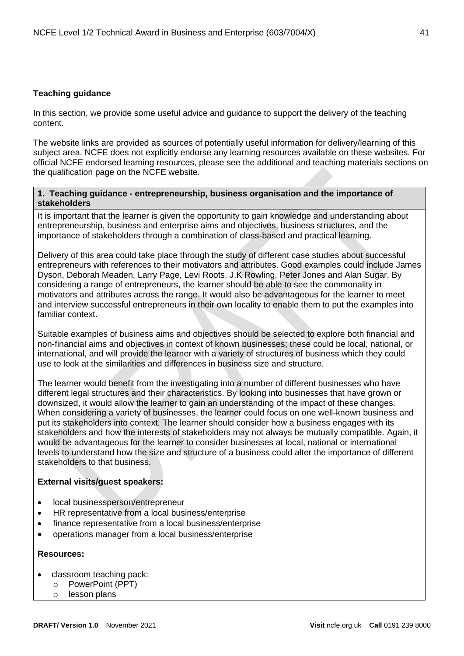# <span id="page-40-0"></span>**Teaching guidance**

In this section, we provide some useful advice and guidance to support the delivery of the teaching content.

The website links are provided as sources of potentially useful information for delivery/learning of this subject area. NCFE does not explicitly endorse any learning resources available on these websites. For official NCFE endorsed learning resources, please see the additional and teaching materials sections on the qualification page on the NCFE website.

# **1. Teaching guidance - entrepreneurship, business organisation and the importance of stakeholders**

It is important that the learner is given the opportunity to gain knowledge and understanding about entrepreneurship, business and enterprise aims and objectives, business structures, and the importance of stakeholders through a combination of class-based and practical learning.

Delivery of this area could take place through the study of different case studies about successful entrepreneurs with references to their motivators and attributes. Good examples could include James Dyson, Deborah Meaden, Larry Page, Levi Roots, J.K Rowling, Peter Jones and Alan Sugar. By considering a range of entrepreneurs, the learner should be able to see the commonality in motivators and attributes across the range. It would also be advantageous for the learner to meet and interview successful entrepreneurs in their own locality to enable them to put the examples into familiar context.

Suitable examples of business aims and objectives should be selected to explore both financial and non-financial aims and objectives in context of known businesses; these could be local, national, or international, and will provide the learner with a variety of structures of business which they could use to look at the similarities and differences in business size and structure.

The learner would benefit from the investigating into a number of different businesses who have different legal structures and their characteristics. By looking into businesses that have grown or downsized, it would allow the learner to gain an understanding of the impact of these changes. When considering a variety of businesses, the learner could focus on one well-known business and put its stakeholders into context. The learner should consider how a business engages with its stakeholders and how the interests of stakeholders may not always be mutually compatible. Again, it would be advantageous for the learner to consider businesses at local, national or international levels to understand how the size and structure of a business could alter the importance of different stakeholders to that business.

#### **External visits/guest speakers:**

- local businessperson/entrepreneur
- HR representative from a local business/enterprise
- finance representative from a local business/enterprise
- operations manager from a local business/enterprise

#### **Resources:**

- classroom teaching pack:
	- o PowerPoint (PPT)
		- o lesson plans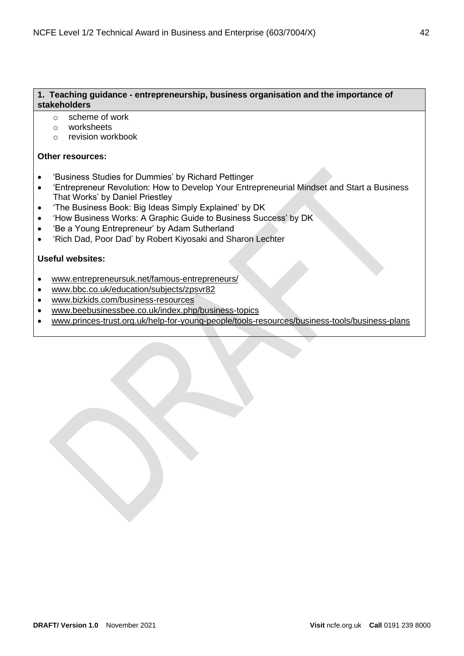#### **1. Teaching guidance - entrepreneurship, business organisation and the importance of stakeholders**

- o scheme of work
- o worksheets
- o revision workbook

# **Other resources:**

- 'Business Studies for Dummies' by Richard Pettinger
- 'Entrepreneur Revolution: How to Develop Your Entrepreneurial Mindset and Start a Business That Works' by Daniel Priestley
- 'The Business Book: Big Ideas Simply Explained' by DK
- 'How Business Works: A Graphic Guide to Business Success' by DK
- 'Be a Young Entrepreneur' by Adam Sutherland
- 'Rich Dad, Poor Dad' by Robert Kiyosaki and Sharon Lechter

# **Useful websites:**

- [www.entrepreneursuk.net/famous-entrepreneurs/](https://www.entrepreneursuk.net/famous-entrepreneurs/)
- [www.bbc.co.uk/education/subjects/zpsvr82](http://www.bbc.co.uk/education/subjects/zpsvr82)
- [www.bizkids.com/business-resources](http://www.bizkids.com/business-resources)
- [www.beebusinessbee.co.uk/index.php/business-topics](http://www.beebusinessbee.co.uk/index.php/business-topics)
- [www.princes-trust.org.uk/help-for-young-people/tools-resources/business-tools/business-plans](https://www.princes-trust.org.uk/help-for-young-people/tools-resources/business-tools/business-plans)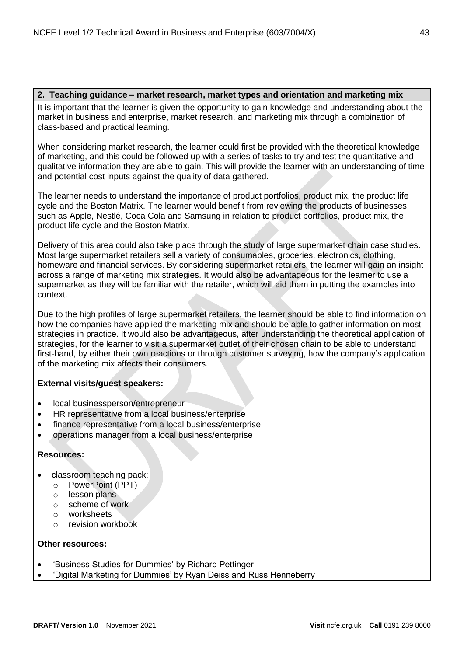# **2. Teaching guidance – market research, market types and orientation and marketing mix**

It is important that the learner is given the opportunity to gain knowledge and understanding about the market in business and enterprise, market research, and marketing mix through a combination of class-based and practical learning.

When considering market research, the learner could first be provided with the theoretical knowledge of marketing, and this could be followed up with a series of tasks to try and test the quantitative and qualitative information they are able to gain. This will provide the learner with an understanding of time and potential cost inputs against the quality of data gathered.

The learner needs to understand the importance of product portfolios, product mix, the product life cycle and the Boston Matrix. The learner would benefit from reviewing the products of businesses such as Apple, Nestlé, Coca Cola and Samsung in relation to product portfolios, product mix, the product life cycle and the Boston Matrix.

Delivery of this area could also take place through the study of large supermarket chain case studies. Most large supermarket retailers sell a variety of consumables, groceries, electronics, clothing, homeware and financial services. By considering supermarket retailers, the learner will gain an insight across a range of marketing mix strategies. It would also be advantageous for the learner to use a supermarket as they will be familiar with the retailer, which will aid them in putting the examples into context.

Due to the high profiles of large supermarket retailers, the learner should be able to find information on how the companies have applied the marketing mix and should be able to gather information on most strategies in practice. It would also be advantageous, after understanding the theoretical application of strategies, for the learner to visit a supermarket outlet of their chosen chain to be able to understand first-hand, by either their own reactions or through customer surveying, how the company's application of the marketing mix affects their consumers.

# **External visits/guest speakers:**

- local businessperson/entrepreneur
- HR representative from a local business/enterprise
- finance representative from a local business/enterprise
- operations manager from a local business/enterprise

#### **Resources:**

- classroom teaching pack:
	- o PowerPoint (PPT)
	- o lesson plans
	- o scheme of work
	- o worksheets
	- o revision workbook

#### **Other resources:**

- 'Business Studies for Dummies' by Richard Pettinger
- 'Digital Marketing for Dummies' by Ryan Deiss and Russ Henneberry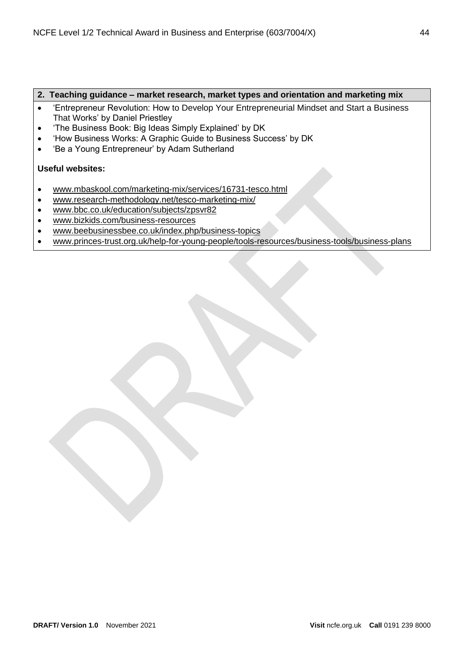#### **2. Teaching guidance – market research, market types and orientation and marketing mix**

- 'Entrepreneur Revolution: How to Develop Your Entrepreneurial Mindset and Start a Business That Works' by Daniel Priestley
- 'The Business Book: Big Ideas Simply Explained' by DK
- 'How Business Works: A Graphic Guide to Business Success' by DK
- 'Be a Young Entrepreneur' by Adam Sutherland

# **Useful websites:**

- [www.mbaskool.com/marketing-mix/services/16731-tesco.html](http://www.mbaskool.com/marketing-mix/services/16731-tesco.html)
- [www.research-methodology.net/tesco-marketing-mix/](http://www.research-methodology.net/tesco-marketing-mix/)
- [www.bbc.co.uk/education/subjects/zpsvr82](http://www.bbc.co.uk/education/subjects/zpsvr82)
- [www.bizkids.com/business-resources](http://www.bizkids.com/business-resources)
- [www.beebusinessbee.co.uk/index.php/business-topics](http://www.beebusinessbee.co.uk/index.php/business-topics)
- [www.princes-trust.org.uk/help-for-young-people/tools-resources/business-tools/business-plans](https://www.princes-trust.org.uk/help-for-young-people/tools-resources/business-tools/business-plans)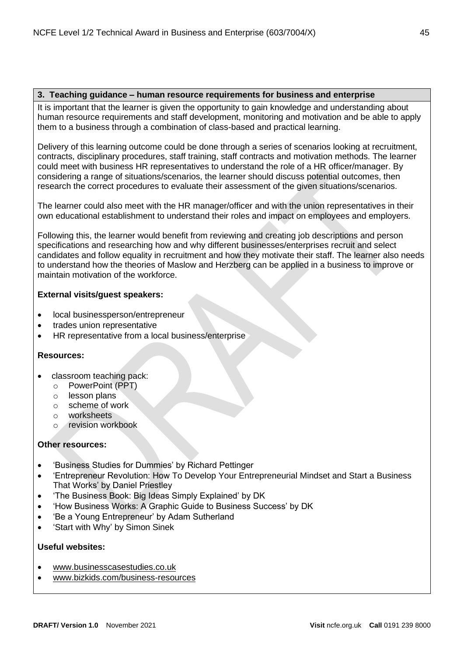# **3. Teaching guidance – human resource requirements for business and enterprise**

It is important that the learner is given the opportunity to gain knowledge and understanding about human resource requirements and staff development, monitoring and motivation and be able to apply them to a business through a combination of class-based and practical learning.

Delivery of this learning outcome could be done through a series of scenarios looking at recruitment, contracts, disciplinary procedures, staff training, staff contracts and motivation methods. The learner could meet with business HR representatives to understand the role of a HR officer/manager. By considering a range of situations/scenarios, the learner should discuss potential outcomes, then research the correct procedures to evaluate their assessment of the given situations/scenarios.

The learner could also meet with the HR manager/officer and with the union representatives in their own educational establishment to understand their roles and impact on employees and employers.

Following this, the learner would benefit from reviewing and creating job descriptions and person specifications and researching how and why different businesses/enterprises recruit and select candidates and follow equality in recruitment and how they motivate their staff. The learner also needs to understand how the theories of Maslow and Herzberg can be applied in a business to improve or maintain motivation of the workforce.

# **External visits/guest speakers:**

- local businessperson/entrepreneur
- trades union representative
- HR representative from a local business/enterprise

#### **Resources:**

- classroom teaching pack:
	- o PowerPoint (PPT)
	- o lesson plans
	- o scheme of work
	- o worksheets
	- o revision workbook

#### **Other resources:**

- 'Business Studies for Dummies' by Richard Pettinger
- 'Entrepreneur Revolution: How To Develop Your Entrepreneurial Mindset and Start a Business That Works' by Daniel Priestley
- 'The Business Book: Big Ideas Simply Explained' by DK
- 'How Business Works: A Graphic Guide to Business Success' by DK
- 'Be a Young Entrepreneur' by Adam Sutherland
- 'Start with Why' by Simon Sinek

#### **Useful websites:**

- [www.businesscasestudies.co.uk](http://www.businesscasestudies.co.uk/)
- [www.bizkids.com/business-resources](http://www.bizkids.com/business-resources)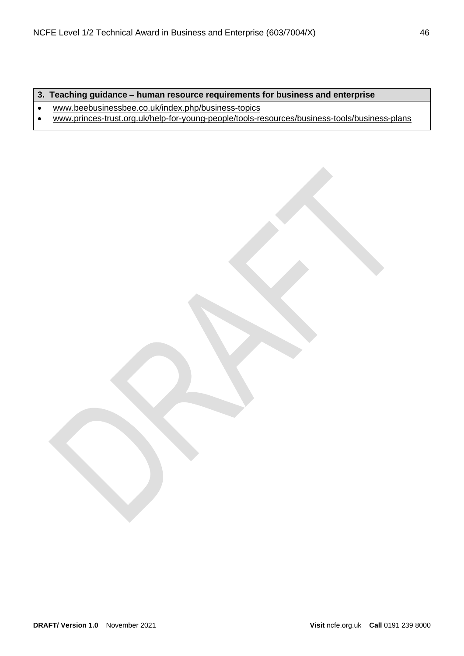# **3. Teaching guidance – human resource requirements for business and enterprise**

- [www.beebusinessbee.co.uk/index.php/business-topics](http://www.beebusinessbee.co.uk/index.php/business-topics)
- [www.princes-trust.org.uk/help-for-young-people/tools-resources/business-tools/business-plans](https://www.princes-trust.org.uk/help-for-young-people/tools-resources/business-tools/business-plans)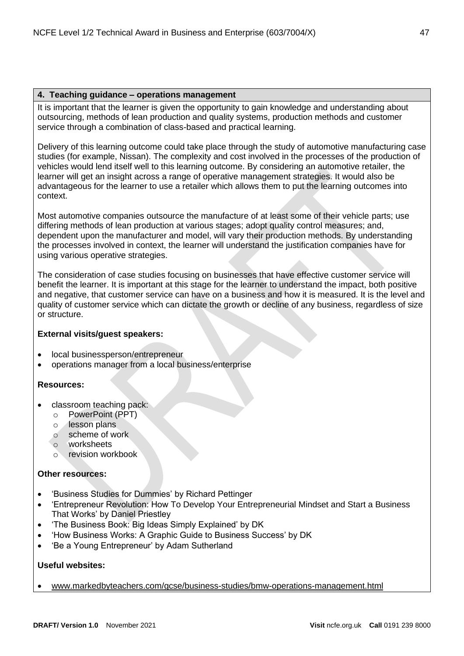# **4. Teaching guidance – operations management**

It is important that the learner is given the opportunity to gain knowledge and understanding about outsourcing, methods of lean production and quality systems, production methods and customer service through a combination of class-based and practical learning.

Delivery of this learning outcome could take place through the study of automotive manufacturing case studies (for example, Nissan). The complexity and cost involved in the processes of the production of vehicles would lend itself well to this learning outcome. By considering an automotive retailer, the learner will get an insight across a range of operative management strategies. It would also be advantageous for the learner to use a retailer which allows them to put the learning outcomes into context.

Most automotive companies outsource the manufacture of at least some of their vehicle parts; use differing methods of lean production at various stages; adopt quality control measures; and, dependent upon the manufacturer and model, will vary their production methods. By understanding the processes involved in context, the learner will understand the justification companies have for using various operative strategies.

The consideration of case studies focusing on businesses that have effective customer service will benefit the learner. It is important at this stage for the learner to understand the impact, both positive and negative, that customer service can have on a business and how it is measured. It is the level and quality of customer service which can dictate the growth or decline of any business, regardless of size or structure.

#### **External visits/guest speakers:**

- local businessperson/entrepreneur
- operations manager from a local business/enterprise

#### **Resources:**

- classroom teaching pack:
	- o PowerPoint (PPT)
	- o lesson plans
	- o scheme of work
	- o worksheets
	- o revision workbook

#### **Other resources:**

- 'Business Studies for Dummies' by Richard Pettinger
- 'Entrepreneur Revolution: How To Develop Your Entrepreneurial Mindset and Start a Business That Works' by Daniel Priestley
- 'The Business Book: Big Ideas Simply Explained' by DK
- 'How Business Works: A Graphic Guide to Business Success' by DK
- 'Be a Young Entrepreneur' by Adam Sutherland

#### **Useful websites:**

• [www.markedbyteachers.com/gcse/business-studies/bmw-operations-management.html](http://www.markedbyteachers.com/gcse/business-studies/bmw-operations-management.html)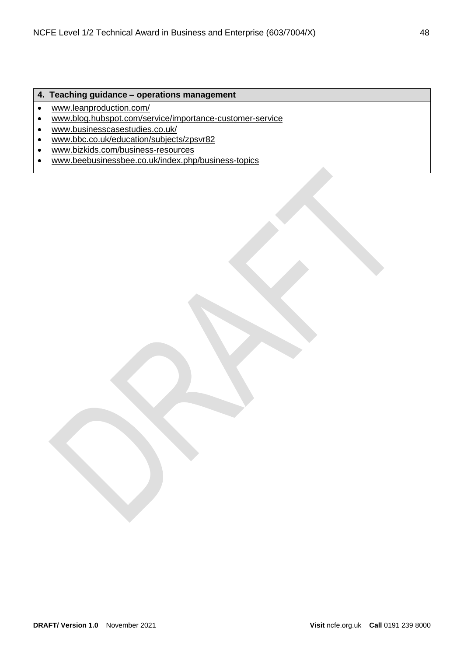# **4. Teaching guidance – operations management**

- [www.leanproduction.com/](https://www.leanproduction.com/)
- www.[blog.hubspot.com/service/importance-customer-service](https://blog.hubspot.com/service/importance-customer-service)
- [www.businesscasestudies.co.uk/](http://www.businesscasestudies.co.uk/)
- [www.bbc.co.uk/education/subjects/zpsvr82](http://www.bbc.co.uk/education/subjects/zpsvr82)
- [www.bizkids.com/business-resources](http://www.bizkids.com/business-resources)
- [www.beebusinessbee.co.uk/index.php/business-topics](http://www.beebusinessbee.co.uk/index.php/business-topics)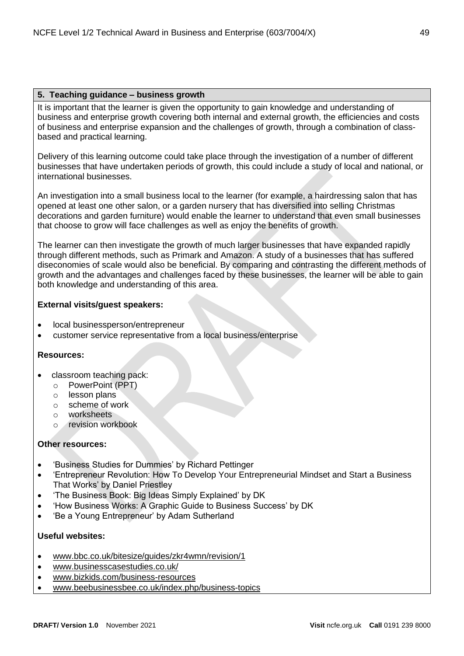# **5. Teaching guidance – business growth**

It is important that the learner is given the opportunity to gain knowledge and understanding of business and enterprise growth covering both internal and external growth, the efficiencies and costs of business and enterprise expansion and the challenges of growth, through a combination of classbased and practical learning.

Delivery of this learning outcome could take place through the investigation of a number of different businesses that have undertaken periods of growth, this could include a study of local and national, or international businesses.

An investigation into a small business local to the learner (for example, a hairdressing salon that has opened at least one other salon, or a garden nursery that has diversified into selling Christmas decorations and garden furniture) would enable the learner to understand that even small businesses that choose to grow will face challenges as well as enjoy the benefits of growth.

The learner can then investigate the growth of much larger businesses that have expanded rapidly through different methods, such as Primark and Amazon. A study of a businesses that has suffered diseconomies of scale would also be beneficial. By comparing and contrasting the different methods of growth and the advantages and challenges faced by these businesses, the learner will be able to gain both knowledge and understanding of this area.

# **External visits/guest speakers:**

- local businessperson/entrepreneur
- customer service representative from a local business/enterprise

# **Resources:**

- classroom teaching pack:
	- o PowerPoint (PPT)
	- o lesson plans
	- o scheme of work
	- o worksheets
	- o revision workbook

# **Other resources:**

- 'Business Studies for Dummies' by Richard Pettinger
- 'Entrepreneur Revolution: How To Develop Your Entrepreneurial Mindset and Start a Business That Works' by Daniel Priestley
- 'The Business Book: Big Ideas Simply Explained' by DK
- 'How Business Works: A Graphic Guide to Business Success' by DK
- 'Be a Young Entrepreneur' by Adam Sutherland

#### **Useful websites:**

- [www.bbc.co.uk/bitesize/guides/zkr4wmn/revision/1](https://www.bbc.co.uk/bitesize/guides/zkr4wmn/revision/1)
- [www.businesscasestudies.co.uk/](http://www.businesscasestudies.co.uk/)
- [www.bizkids.com/business-resources](http://www.bizkids.com/business-resources)
- [www.beebusinessbee.co.uk/index.php/business-topics](http://www.beebusinessbee.co.uk/index.php/business-topics)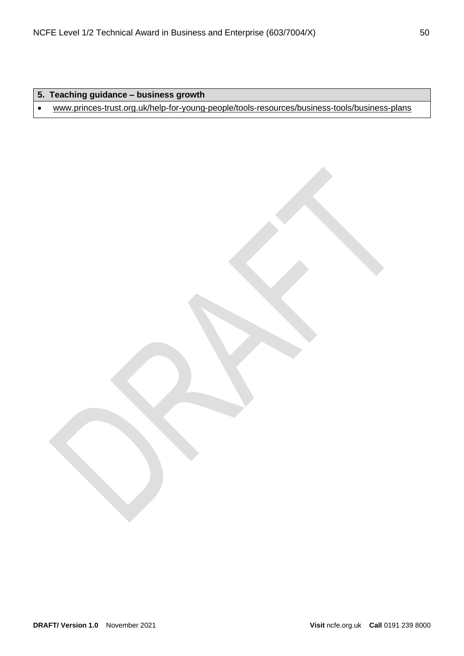# **5. Teaching guidance – business growth**

• [www.princes-trust.org.uk/help-for-young-people/tools-resources/business-tools/business-plans](https://www.princes-trust.org.uk/help-for-young-people/tools-resources/business-tools/business-plans)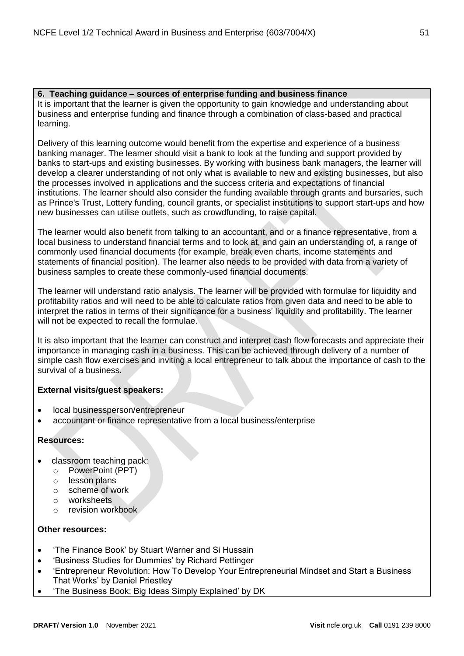**6. Teaching guidance – sources of enterprise funding and business finance** It is important that the learner is given the opportunity to gain knowledge and understanding about business and enterprise funding and finance through a combination of class-based and practical learning.

Delivery of this learning outcome would benefit from the expertise and experience of a business banking manager. The learner should visit a bank to look at the funding and support provided by banks to start-ups and existing businesses. By working with business bank managers, the learner will develop a clearer understanding of not only what is available to new and existing businesses, but also the processes involved in applications and the success criteria and expectations of financial institutions. The learner should also consider the funding available through grants and bursaries, such as Prince's Trust, Lottery funding, council grants, or specialist institutions to support start-ups and how new businesses can utilise outlets, such as crowdfunding, to raise capital.

The learner would also benefit from talking to an accountant, and or a finance representative, from a local business to understand financial terms and to look at, and gain an understanding of, a range of commonly used financial documents (for example, break even charts, income statements and statements of financial position). The learner also needs to be provided with data from a variety of business samples to create these commonly-used financial documents.

The learner will understand ratio analysis. The learner will be provided with formulae for liquidity and profitability ratios and will need to be able to calculate ratios from given data and need to be able to interpret the ratios in terms of their significance for a business' liquidity and profitability. The learner will not be expected to recall the formulae.

It is also important that the learner can construct and interpret cash flow forecasts and appreciate their importance in managing cash in a business. This can be achieved through delivery of a number of simple cash flow exercises and inviting a local entrepreneur to talk about the importance of cash to the survival of a business.

# **External visits/guest speakers:**

- local businessperson/entrepreneur
- accountant or finance representative from a local business/enterprise

# **Resources:**

- classroom teaching pack:
	- o PowerPoint (PPT)
	- o lesson plans
	- o scheme of work
	- o worksheets
	- o revision workbook

# **Other resources:**

- 'The Finance Book' by Stuart Warner and Si Hussain
- 'Business Studies for Dummies' by Richard Pettinger
- 'Entrepreneur Revolution: How To Develop Your Entrepreneurial Mindset and Start a Business That Works' by Daniel Priestley
- 'The Business Book: Big Ideas Simply Explained' by DK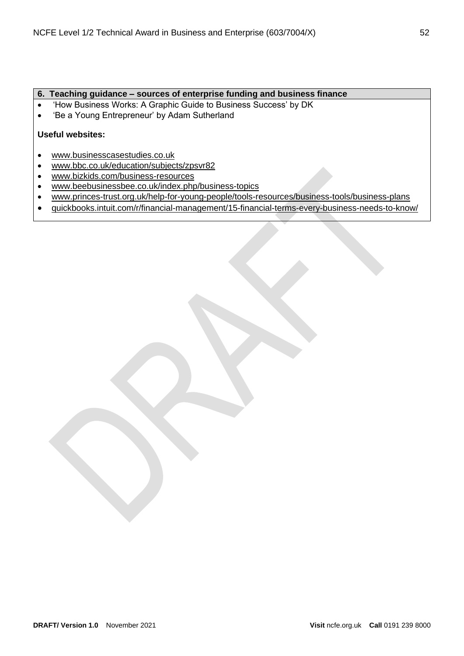# **6. Teaching guidance – sources of enterprise funding and business finance**

- 'How Business Works: A Graphic Guide to Business Success' by DK
- 'Be a Young Entrepreneur' by Adam Sutherland

# **Useful websites:**

- [www.businesscasestudies.co.uk](http://www.businesscasestudies.co.uk/)
- [www.bbc.co.uk/education/subjects/zpsvr82](http://www.bbc.co.uk/education/subjects/zpsvr82)
- [www.bizkids.com/business-resources](http://www.bizkids.com/business-resources)
- [www.beebusinessbee.co.uk/index.php/business-topics](http://www.beebusinessbee.co.uk/index.php/business-topics)
- [www.princes-trust.org.uk/help-for-young-people/tools-resources/business-tools/business-plans](https://www.princes-trust.org.uk/help-for-young-people/tools-resources/business-tools/business-plans)
- [quickbooks.intuit.com/r/financial-management/15-financial-terms-every-business-needs-to-know/](https://quickbooks.intuit.com/r/financial-management/15-financial-terms-every-business-needs-to-know/)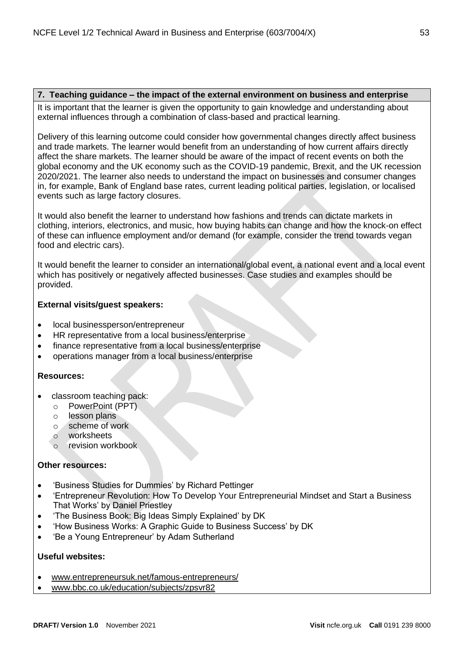# **7. Teaching guidance – the impact of the external environment on business and enterprise**

It is important that the learner is given the opportunity to gain knowledge and understanding about external influences through a combination of class-based and practical learning.

Delivery of this learning outcome could consider how governmental changes directly affect business and trade markets. The learner would benefit from an understanding of how current affairs directly affect the share markets. The learner should be aware of the impact of recent events on both the global economy and the UK economy such as the COVID-19 pandemic, Brexit, and the UK recession 2020/2021. The learner also needs to understand the impact on businesses and consumer changes in, for example, Bank of England base rates, current leading political parties, legislation, or localised events such as large factory closures.

It would also benefit the learner to understand how fashions and trends can dictate markets in clothing, interiors, electronics, and music, how buying habits can change and how the knock-on effect of these can influence employment and/or demand (for example, consider the trend towards vegan food and electric cars).

It would benefit the learner to consider an international/global event, a national event and a local event which has positively or negatively affected businesses. Case studies and examples should be provided.

# **External visits/guest speakers:**

- local businessperson/entrepreneur
- HR representative from a local business/enterprise
- finance representative from a local business/enterprise
- operations manager from a local business/enterprise

#### **Resources:**

- classroom teaching pack:
	- o PowerPoint (PPT)
	- o lesson plans
	- o scheme of work
	- o worksheets
	- o revision workbook

# **Other resources:**

- 'Business Studies for Dummies' by Richard Pettinger
- 'Entrepreneur Revolution: How To Develop Your Entrepreneurial Mindset and Start a Business That Works' by Daniel Priestley
- 'The Business Book: Big Ideas Simply Explained' by DK
- 'How Business Works: A Graphic Guide to Business Success' by DK
- 'Be a Young Entrepreneur' by Adam Sutherland

#### **Useful websites:**

- [www.entrepreneursuk.net/famous-entrepreneurs/](https://www.entrepreneursuk.net/famous-entrepreneurs/)
- [www.bbc.co.uk/education/subjects/zpsvr82](http://www.bbc.co.uk/education/subjects/zpsvr82)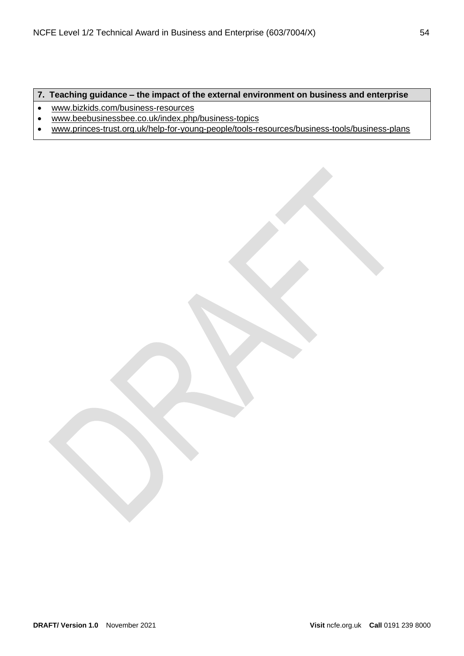# **7. Teaching guidance – the impact of the external environment on business and enterprise**

- [www.bizkids.com/business-resources](http://www.bizkids.com/business-resources)
- [www.beebusinessbee.co.uk/index.php/business-topics](http://www.beebusinessbee.co.uk/index.php/business-topics)
- [www.princes-trust.org.uk/help-for-young-people/tools-resources/business-tools/business-plans](https://www.princes-trust.org.uk/help-for-young-people/tools-resources/business-tools/business-plans)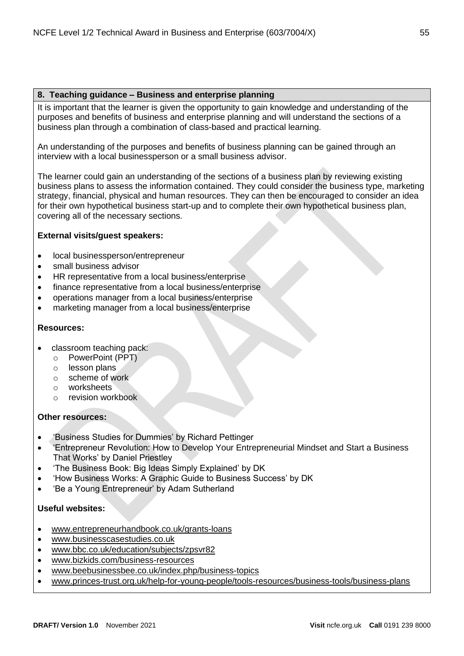# **8. Teaching guidance – Business and enterprise planning**

It is important that the learner is given the opportunity to gain knowledge and understanding of the purposes and benefits of business and enterprise planning and will understand the sections of a business plan through a combination of class-based and practical learning.

An understanding of the purposes and benefits of business planning can be gained through an interview with a local businessperson or a small business advisor.

The learner could gain an understanding of the sections of a business plan by reviewing existing business plans to assess the information contained. They could consider the business type, marketing strategy, financial, physical and human resources. They can then be encouraged to consider an idea for their own hypothetical business start-up and to complete their own hypothetical business plan, covering all of the necessary sections.

#### **External visits/guest speakers:**

- local businessperson/entrepreneur
- small business advisor
- HR representative from a local business/enterprise
- finance representative from a local business/enterprise
- operations manager from a local business/enterprise
- marketing manager from a local business/enterprise

#### **Resources:**

- classroom teaching pack:
	- o PowerPoint (PPT)
	- o lesson plans
	- o scheme of work
	- o worksheets
	- o revision workbook

# **Other resources:**

- 'Business Studies for Dummies' by Richard Pettinger
- 'Entrepreneur Revolution: How to Develop Your Entrepreneurial Mindset and Start a Business That Works' by Daniel Priestley
- 'The Business Book: Big Ideas Simply Explained' by DK
- 'How Business Works: A Graphic Guide to Business Success' by DK
- 'Be a Young Entrepreneur' by Adam Sutherland

# **Useful websites:**

- [www.entrepreneurhandbook.co.uk/grants-loans](http://www.entrepreneurhandbook.co.uk/grants-loans)
- [www.businesscasestudies.co.uk](http://www.businesscasestudies.co.uk/)
- [www.bbc.co.uk/education/subjects/zpsvr82](http://www.bbc.co.uk/education/subjects/zpsvr82)
- [www.bizkids.com/business-resources](http://www.bizkids.com/business-resources)
- [www.beebusinessbee.co.uk/index.php/business-topics](http://www.beebusinessbee.co.uk/index.php/business-topics)
- [www.princes-trust.org.uk/help-for-young-people/tools-resources/business-tools/business-plans](https://www.princes-trust.org.uk/help-for-young-people/tools-resources/business-tools/business-plans)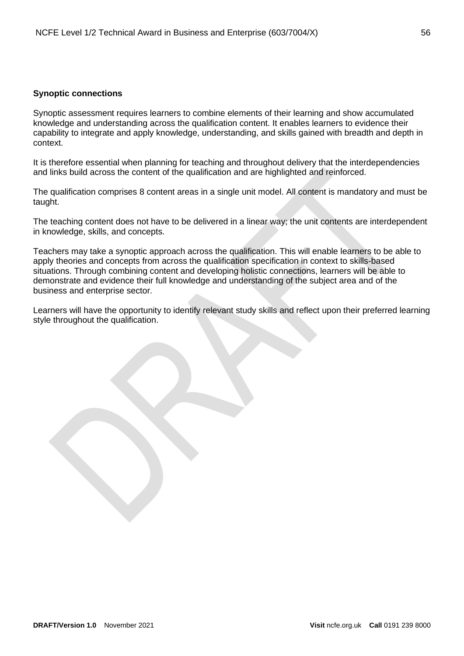#### <span id="page-55-0"></span>**Synoptic connections**

Synoptic assessment requires learners to combine elements of their learning and show accumulated knowledge and understanding across the qualification content. It enables learners to evidence their capability to integrate and apply knowledge, understanding, and skills gained with breadth and depth in context.

It is therefore essential when planning for teaching and throughout delivery that the interdependencies and links build across the content of the qualification and are highlighted and reinforced.

The qualification comprises 8 content areas in a single unit model. All content is mandatory and must be taught.

The teaching content does not have to be delivered in a linear way; the unit contents are interdependent in knowledge, skills, and concepts.

Teachers may take a synoptic approach across the qualification. This will enable learners to be able to apply theories and concepts from across the qualification specification in context to skills-based situations. Through combining content and developing holistic connections, learners will be able to demonstrate and evidence their full knowledge and understanding of the subject area and of the business and enterprise sector.

Learners will have the opportunity to identify relevant study skills and reflect upon their preferred learning style throughout the qualification.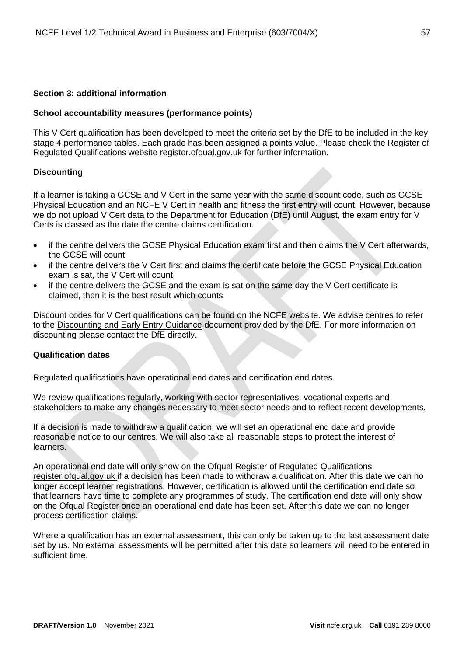#### <span id="page-56-0"></span>**Section 3: additional information**

#### <span id="page-56-1"></span>**School accountability measures (performance points)**

This V Cert qualification has been developed to meet the criteria set by the DfE to be included in the key stage 4 performance tables. Each grade has been assigned a points value. Please check the Register of Regulated Qualifications website [register.ofqual.gov.uk](https://register.ofqual.gov.uk/) for further information.

#### <span id="page-56-2"></span>**Discounting**

If a learner is taking a GCSE and V Cert in the same year with the same discount code, such as GCSE Physical Education and an NCFE V Cert in health and fitness the first entry will count. However, because we do not upload V Cert data to the Department for Education (DfE) until August, the exam entry for V Certs is classed as the date the centre claims certification.

- if the centre delivers the GCSE Physical Education exam first and then claims the V Cert afterwards, the GCSE will count
- if the centre delivers the V Cert first and claims the certificate before the GCSE Physical Education exam is sat, the V Cert will count
- if the centre delivers the GCSE and the exam is sat on the same day the V Cert certificate is claimed, then it is the best result which counts

Discount codes for V Cert qualifications can be found on the NCFE website. We advise centres to refer to the [Discounting and Early Entry Guidance](https://www.gov.uk/government/uploads/system/uploads/attachment_data/file/651207/Key_stage_4_discounting_and_early_entry_guidance_2017.pdf) document provided by the DfE. For more information on discounting please contact the DfE directly.

#### <span id="page-56-3"></span>**Qualification dates**

Regulated qualifications have operational end dates and certification end dates.

We review qualifications regularly, working with sector representatives, vocational experts and stakeholders to make any changes necessary to meet sector needs and to reflect recent developments.

If a decision is made to withdraw a qualification, we will set an operational end date and provide reasonable notice to our centres. We will also take all reasonable steps to protect the interest of learners.

An operational end date will only show on the Ofqual Register of Regulated Qualifications [register.ofqual.gov.uk](https://register.ofqual.gov.uk/) if a decision has been made to withdraw a qualification. After this date we can no longer accept learner registrations. However, certification is allowed until the certification end date so that learners have time to complete any programmes of study. The certification end date will only show on the Ofqual Register once an operational end date has been set. After this date we can no longer process certification claims.

Where a qualification has an external assessment, this can only be taken up to the last assessment date set by us. No external assessments will be permitted after this date so learners will need to be entered in sufficient time.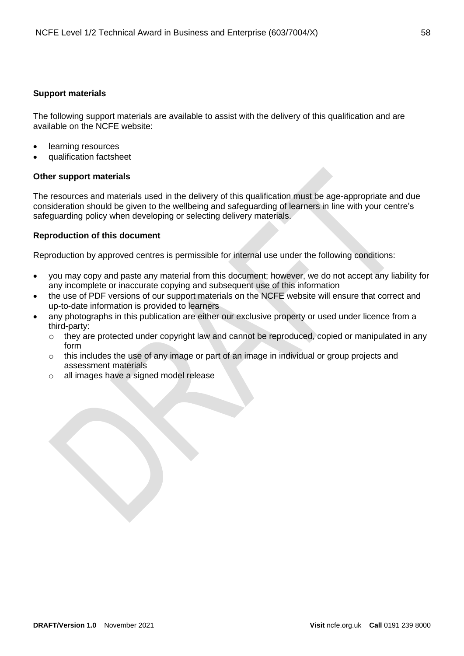#### <span id="page-57-0"></span>**Support materials**

The following support materials are available to assist with the delivery of this qualification and are available on the NCFE website:

- learning resources
- qualification factsheet

#### **Other support materials**

The resources and materials used in the delivery of this qualification must be age-appropriate and due consideration should be given to the wellbeing and safeguarding of learners in line with your centre's safeguarding policy when developing or selecting delivery materials.

#### <span id="page-57-1"></span>**Reproduction of this document**

Reproduction by approved centres is permissible for internal use under the following conditions:

- you may copy and paste any material from this document; however, we do not accept any liability for any incomplete or inaccurate copying and subsequent use of this information
- the use of PDF versions of our support materials on the NCFE website will ensure that correct and up-to-date information is provided to learners
- any photographs in this publication are either our exclusive property or used under licence from a third-party:
	- o they are protected under copyright law and cannot be reproduced, copied or manipulated in any form
	- $\circ$  this includes the use of any image or part of an image in individual or group projects and assessment materials
	- o all images have a signed model release